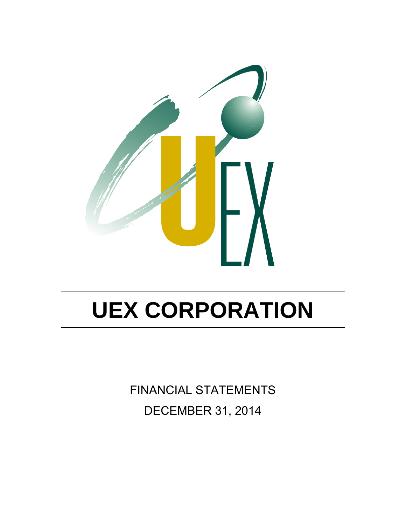

FINANCIAL STATEMENTS DECEMBER 31, 2014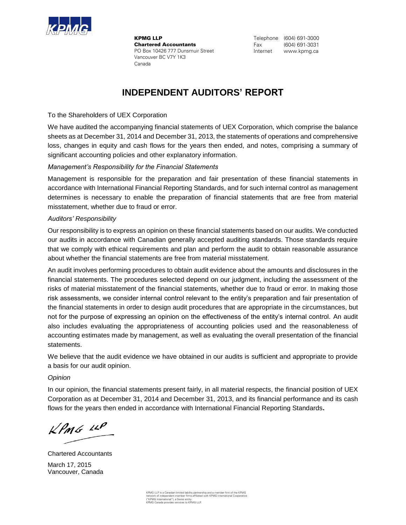

**KPMG LLP Chartered Accountants** PO Box 10426 777 Dunsmuir Street Vancouver BC V7Y 1K3 Canada

Telephone (604) 691-3000 Fax (604) 691-3031 Internet www.kpmg.ca

# **INDEPENDENT AUDITORS' REPORT**

To the Shareholders of UEX Corporation

We have audited the accompanying financial statements of UEX Corporation, which comprise the balance sheets as at December 31, 2014 and December 31, 2013, the statements of operations and comprehensive loss, changes in equity and cash flows for the years then ended, and notes, comprising a summary of significant accounting policies and other explanatory information.

# *Management's Responsibility for the Financial Statements*

Management is responsible for the preparation and fair presentation of these financial statements in accordance with International Financial Reporting Standards, and for such internal control as management determines is necessary to enable the preparation of financial statements that are free from material misstatement, whether due to fraud or error.

# *Auditors' Responsibility*

Our responsibility is to express an opinion on these financial statements based on our audits. We conducted our audits in accordance with Canadian generally accepted auditing standards. Those standards require that we comply with ethical requirements and plan and perform the audit to obtain reasonable assurance about whether the financial statements are free from material misstatement.

An audit involves performing procedures to obtain audit evidence about the amounts and disclosures in the financial statements. The procedures selected depend on our judgment, including the assessment of the risks of material misstatement of the financial statements, whether due to fraud or error. In making those risk assessments, we consider internal control relevant to the entity's preparation and fair presentation of the financial statements in order to design audit procedures that are appropriate in the circumstances, but not for the purpose of expressing an opinion on the effectiveness of the entity's internal control. An audit also includes evaluating the appropriateness of accounting policies used and the reasonableness of accounting estimates made by management, as well as evaluating the overall presentation of the financial statements.

We believe that the audit evidence we have obtained in our audits is sufficient and appropriate to provide a basis for our audit opinion.

# *Opinion*

In our opinion, the financial statements present fairly, in all material respects, the financial position of UEX Corporation as at December 31, 2014 and December 31, 2013, and its financial performance and its cash flows for the years then ended in accordance with International Financial Reporting Standards**.**

 $k$ *PMG*  $\mu$ 

Chartered Accountants March 17, 2015 Vancouver, Canada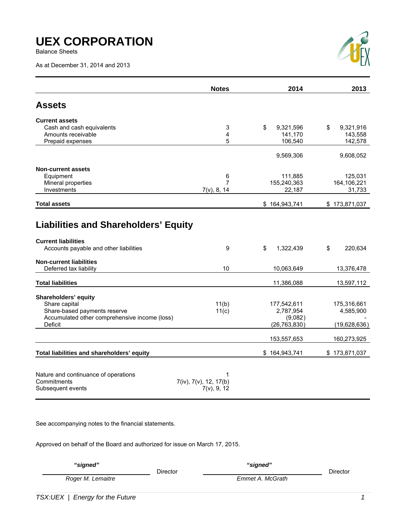Balance Sheets

As at December 31, 2014 and 2013



|                                                                                                                                  | <b>Notes</b>                               | 2014                          | 2013                        |
|----------------------------------------------------------------------------------------------------------------------------------|--------------------------------------------|-------------------------------|-----------------------------|
| <b>Assets</b>                                                                                                                    |                                            |                               |                             |
| <b>Current assets</b>                                                                                                            |                                            |                               |                             |
| Cash and cash equivalents                                                                                                        | 3                                          | \$<br>9,321,596               | 9,321,916<br>\$             |
| Amounts receivable                                                                                                               | 4                                          | 141,170                       | 143,558                     |
| Prepaid expenses                                                                                                                 | 5                                          | 106,540                       | 142,578                     |
|                                                                                                                                  |                                            | 9,569,306                     | 9,608,052                   |
| <b>Non-current assets</b>                                                                                                        |                                            |                               |                             |
| Equipment                                                                                                                        | 6                                          | 111,885                       | 125,031                     |
| Mineral properties                                                                                                               | $\overline{7}$                             | 155,240,363                   | 164,106,221                 |
| Investments                                                                                                                      | $7(v)$ , 8, 14                             | 22,187                        | 31,733                      |
| <b>Total assets</b>                                                                                                              |                                            | \$164,943,741                 | \$173,871,037               |
| <b>Current liabilities</b><br>Accounts payable and other liabilities<br><b>Non-current liabilities</b><br>Deferred tax liability | 9<br>10                                    | \$<br>1,322,439<br>10,063,649 | \$<br>220,634<br>13,376,478 |
|                                                                                                                                  |                                            |                               |                             |
| <b>Total liabilities</b>                                                                                                         |                                            | 11,386,088                    | 13,597,112                  |
| Shareholders' equity                                                                                                             |                                            |                               |                             |
| Share capital                                                                                                                    | 11(b)                                      | 177,542,611                   | 175,316,661                 |
| Share-based payments reserve                                                                                                     | 11(c)                                      | 2,787,954                     | 4,585,900                   |
| Accumulated other comprehensive income (loss)<br>Deficit                                                                         |                                            | (9,082)<br>(26, 763, 830)     | (19,628,636)                |
|                                                                                                                                  |                                            | 153,557,653                   | 160,273,925                 |
|                                                                                                                                  |                                            |                               |                             |
| Total liabilities and shareholders' equity                                                                                       |                                            | \$164,943,741                 | \$173,871,037               |
| Nature and continuance of operations<br>Commitments<br>Subsequent events                                                         | 1<br>7(iv), 7(v), 12, 17(b)<br>7(v), 9, 12 |                               |                             |

See accompanying notes to the financial statements.

Approved on behalf of the Board and authorized for issue on March 17, 2015.

**Roger M. Lemaitre Emmet A. McGrath** 

DirectorDirector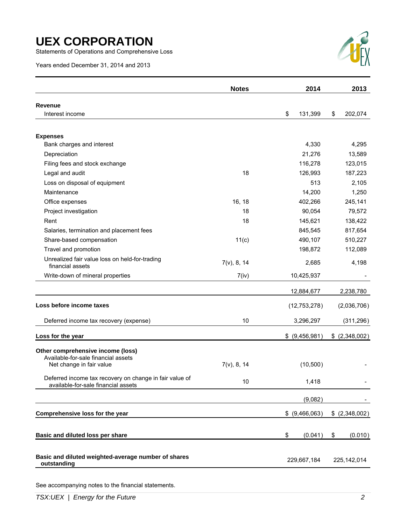Statements of Operations and Comprehensive Loss

Years ended December 31, 2014 and 2013



|                                                                                                | <b>Notes</b> | 2014               | 2013               |
|------------------------------------------------------------------------------------------------|--------------|--------------------|--------------------|
| Revenue                                                                                        |              |                    |                    |
| Interest income                                                                                |              | \$<br>131,399      | \$<br>202,074      |
|                                                                                                |              |                    |                    |
| <b>Expenses</b><br>Bank charges and interest                                                   |              | 4,330              | 4,295              |
| Depreciation                                                                                   |              | 21,276             | 13,589             |
| Filing fees and stock exchange                                                                 |              | 116,278            | 123,015            |
| Legal and audit                                                                                | 18           | 126,993            | 187,223            |
| Loss on disposal of equipment                                                                  |              | 513                | 2,105              |
| Maintenance                                                                                    |              | 14,200             | 1,250              |
| Office expenses                                                                                | 16, 18       | 402,266            | 245,141            |
| Project investigation                                                                          | 18           | 90,054             | 79,572             |
| Rent                                                                                           | 18           | 145,621            | 138,422            |
|                                                                                                |              |                    |                    |
| Salaries, termination and placement fees                                                       |              | 845,545            | 817,654<br>510,227 |
| Share-based compensation<br>Travel and promotion                                               | 11(c)        | 490,107<br>198,872 | 112,089            |
|                                                                                                |              |                    |                    |
| Unrealized fair value loss on held-for-trading<br>financial assets                             | 7(v), 8, 14  | 2,685              | 4,198              |
| Write-down of mineral properties                                                               | 7(iv)        | 10,425,937         |                    |
|                                                                                                |              | 12,884,677         | 2,238,780          |
| Loss before income taxes                                                                       |              | (12,753,278)       | (2,036,706)        |
| Deferred income tax recovery (expense)                                                         | 10           | 3,296,297          | (311, 296)         |
| Loss for the year                                                                              |              | \$ (9,456,981)     | \$ (2,348,002)     |
| Other comprehensive income (loss)                                                              |              |                    |                    |
| Available-for-sale financial assets                                                            |              |                    |                    |
| Net change in fair value                                                                       | 7(v), 8, 14  | (10, 500)          |                    |
| Deferred income tax recovery on change in fair value of<br>available-for-sale financial assets | 10           | 1,418              |                    |
|                                                                                                |              | (9,082)            |                    |
| Comprehensive loss for the year                                                                |              | \$ (9,466,063)     | \$(2,348,002)      |
|                                                                                                |              |                    |                    |
| Basic and diluted loss per share                                                               |              | \$<br>(0.041)      | \$<br>(0.010)      |
| Basic and diluted weighted-average number of shares                                            |              | 229,667,184        | 225, 142, 014      |
| outstanding                                                                                    |              |                    |                    |

See accompanying notes to the financial statements.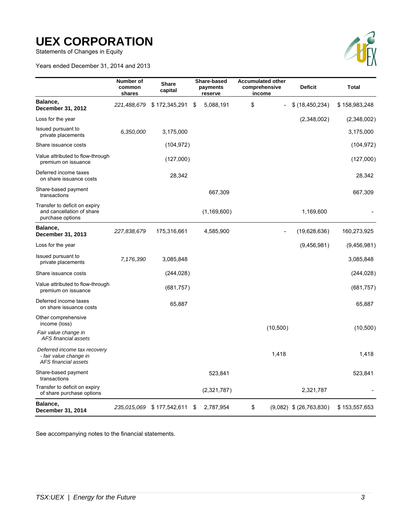Statements of Changes in Equity

Years ended December 31, 2014 and 2013



|                                                                                | Number of<br>common<br>shares | <b>Share</b><br>capital   |     | Share-based<br>payments<br>reserve | <b>Accumulated other</b><br>comprehensive<br>income | <b>Deficit</b>              | Total         |
|--------------------------------------------------------------------------------|-------------------------------|---------------------------|-----|------------------------------------|-----------------------------------------------------|-----------------------------|---------------|
| Balance,<br>December 31, 2012                                                  | 221,488,679                   | \$172,345,291             | \$  | 5,088,191                          | \$                                                  | \$(18, 450, 234)            | \$158,983,248 |
| Loss for the year                                                              |                               |                           |     |                                    |                                                     | (2,348,002)                 | (2,348,002)   |
| Issued pursuant to<br>private placements                                       | 6,350,000                     | 3,175,000                 |     |                                    |                                                     |                             | 3,175,000     |
| Share issuance costs                                                           |                               | (104, 972)                |     |                                    |                                                     |                             | (104, 972)    |
| Value attributed to flow-through<br>premium on issuance                        |                               | (127,000)                 |     |                                    |                                                     |                             | (127,000)     |
| Deferred income taxes<br>on share issuance costs                               |                               | 28,342                    |     |                                    |                                                     |                             | 28,342        |
| Share-based payment<br>transactions                                            |                               |                           |     | 667,309                            |                                                     |                             | 667,309       |
| Transfer to deficit on expiry<br>and cancellation of share<br>purchase options |                               |                           |     | (1, 169, 600)                      |                                                     | 1,169,600                   |               |
| Balance,<br>December 31, 2013                                                  | 227,838,679                   | 175,316,661               |     | 4,585,900                          |                                                     | (19,628,636)                | 160,273,925   |
| Loss for the year                                                              |                               |                           |     |                                    |                                                     | (9,456,981)                 | (9,456,981)   |
| Issued pursuant to<br>private placements                                       | 7,176,390                     | 3,085,848                 |     |                                    |                                                     |                             | 3,085,848     |
| Share issuance costs                                                           |                               | (244, 028)                |     |                                    |                                                     |                             | (244, 028)    |
| Value attributed to flow-through<br>premium on issuance                        |                               | (681, 757)                |     |                                    |                                                     |                             | (681, 757)    |
| Deferred income taxes<br>on share issuance costs                               |                               | 65,887                    |     |                                    |                                                     |                             | 65,887        |
| Other comprehensive<br>income (loss)                                           |                               |                           |     |                                    | (10,500)                                            |                             | (10,500)      |
| Fair value change in<br>AFS financial assets                                   |                               |                           |     |                                    |                                                     |                             |               |
| Deferred income tax recovery<br>- fair value change in<br>AFS financial assets |                               |                           |     |                                    | 1,418                                               |                             | 1,418         |
| Share-based payment<br>transactions                                            |                               |                           |     | 523,841                            |                                                     |                             | 523,841       |
| Transfer to deficit on expiry<br>of share purchase options                     |                               |                           |     | (2,321,787)                        |                                                     | 2,321,787                   |               |
| Balance,<br>December 31, 2014                                                  |                               | 235,015,069 \$177,542,611 | -\$ | 2,787,954                          | \$                                                  | $(9,082)$ \$ $(26,763,830)$ | \$153,557,653 |

See accompanying notes to the financial statements.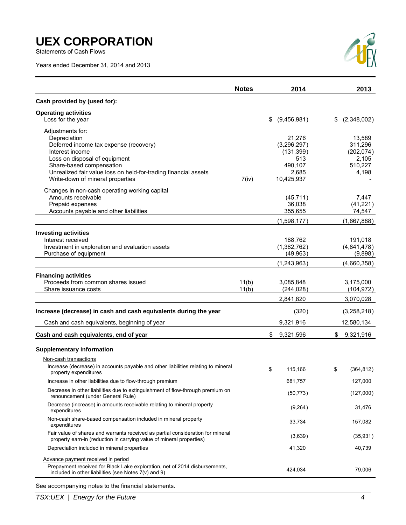Statements of Cash Flows

Years ended December 31, 2014 and 2013



|                                                                                                                                                                                                                                                                   | <b>Notes</b>   | 2014                                                                           | 2013                                                         |
|-------------------------------------------------------------------------------------------------------------------------------------------------------------------------------------------------------------------------------------------------------------------|----------------|--------------------------------------------------------------------------------|--------------------------------------------------------------|
| Cash provided by (used for):                                                                                                                                                                                                                                      |                |                                                                                |                                                              |
| <b>Operating activities</b><br>Loss for the year                                                                                                                                                                                                                  |                | \$<br>(9,456,981)                                                              | \$<br>(2,348,002)                                            |
| Adjustments for:<br>Depreciation<br>Deferred income tax expense (recovery)<br>Interest income<br>Loss on disposal of equipment<br>Share-based compensation<br>Unrealized fair value loss on held-for-trading financial assets<br>Write-down of mineral properties | 7(iv)          | 21,276<br>(3, 296, 297)<br>(131, 399)<br>513<br>490,107<br>2,685<br>10,425,937 | 13,589<br>311,296<br>(202, 074)<br>2,105<br>510,227<br>4,198 |
| Changes in non-cash operating working capital<br>Amounts receivable<br>Prepaid expenses<br>Accounts payable and other liabilities                                                                                                                                 |                | (45, 711)<br>36,038<br>355,655                                                 | 7,447<br>(41, 221)<br>74,547                                 |
|                                                                                                                                                                                                                                                                   |                | (1,598,177)                                                                    | (1,667,888)                                                  |
| <b>Investing activities</b><br>Interest received<br>Investment in exploration and evaluation assets<br>Purchase of equipment                                                                                                                                      |                | 188,762<br>(1,382,762)<br>(49, 963)                                            | 191,018<br>(4,841,478)<br>(9,898)                            |
|                                                                                                                                                                                                                                                                   |                | (1,243,963)                                                                    | (4,660,358)                                                  |
| <b>Financing activities</b><br>Proceeds from common shares issued<br>Share issuance costs                                                                                                                                                                         | 11(b)<br>11(b) | 3,085,848<br>(244, 028)<br>2,841,820                                           | 3,175,000<br>(104, 972)<br>3,070,028                         |
| Increase (decrease) in cash and cash equivalents during the year                                                                                                                                                                                                  |                | (320)                                                                          | (3,258,218)                                                  |
| Cash and cash equivalents, beginning of year                                                                                                                                                                                                                      |                | 9,321,916                                                                      | 12,580,134                                                   |
| Cash and cash equivalents, end of year                                                                                                                                                                                                                            |                | \$<br>9,321,596                                                                | \$9,321,916                                                  |
| <b>Supplementary information</b>                                                                                                                                                                                                                                  |                |                                                                                |                                                              |
| Non-cash transactions<br>Increase (decrease) in accounts payable and other liabilities relating to mineral<br>property expenditures                                                                                                                               |                | \$<br>115,166                                                                  | \$<br>(364, 812)                                             |
| Increase in other liabilities due to flow-through premium                                                                                                                                                                                                         |                | 681,757                                                                        | 127,000                                                      |
| Decrease in other liabilities due to extinguishment of flow-through premium on<br>renouncement (under General Rule)                                                                                                                                               |                | (50, 773)                                                                      | (127,000)                                                    |
| Decrease (increase) in amounts receivable relating to mineral property<br>expenditures                                                                                                                                                                            |                | (9,264)                                                                        | 31,476                                                       |
| Non-cash share-based compensation included in mineral property<br>expenditures                                                                                                                                                                                    |                | 33,734                                                                         | 157,082                                                      |
| Fair value of shares and warrants received as partial consideration for mineral<br>property earn-in (reduction in carrying value of mineral properties)                                                                                                           |                | (3,639)                                                                        | (35, 931)                                                    |
| Depreciation included in mineral properties                                                                                                                                                                                                                       |                | 41,320                                                                         | 40,739                                                       |
| Advance payment received in period<br>Prepayment received for Black Lake exploration, net of 2014 disbursements,<br>included in other liabilities (see Notes 7(v) and 9)                                                                                          |                | 424,034                                                                        | 79,006                                                       |

See accompanying notes to the financial statements.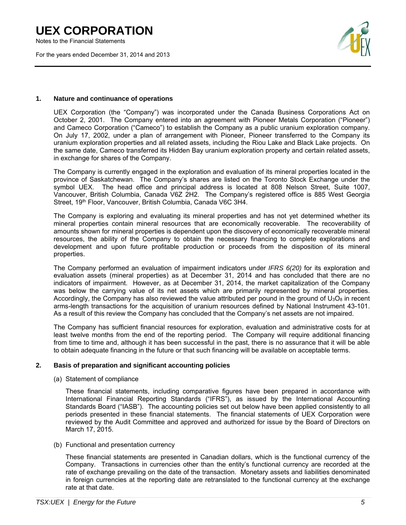Notes to the Financial Statements

For the years ended December 31, 2014 and 2013



### **1. Nature and continuance of operations**

UEX Corporation (the "Company") was incorporated under the Canada Business Corporations Act on October 2, 2001. The Company entered into an agreement with Pioneer Metals Corporation ("Pioneer") and Cameco Corporation ("Cameco") to establish the Company as a public uranium exploration company. On July 17, 2002, under a plan of arrangement with Pioneer, Pioneer transferred to the Company its uranium exploration properties and all related assets, including the Riou Lake and Black Lake projects. On the same date, Cameco transferred its Hidden Bay uranium exploration property and certain related assets, in exchange for shares of the Company.

 The Company is currently engaged in the exploration and evaluation of its mineral properties located in the province of Saskatchewan. The Company's shares are listed on the Toronto Stock Exchange under the symbol UEX. The head office and principal address is located at 808 Nelson Street, Suite 1007, Vancouver, British Columbia, Canada V6Z 2H2. The Company's registered office is 885 West Georgia Street, 19th Floor, Vancouver, British Columbia, Canada V6C 3H4.

The Company is exploring and evaluating its mineral properties and has not yet determined whether its mineral properties contain mineral resources that are economically recoverable. The recoverability of amounts shown for mineral properties is dependent upon the discovery of economically recoverable mineral resources, the ability of the Company to obtain the necessary financing to complete explorations and development and upon future profitable production or proceeds from the disposition of its mineral properties.

The Company performed an evaluation of impairment indicators under *IFRS 6(20)* for its exploration and evaluation assets (mineral properties) as at December 31, 2014 and has concluded that there are no indicators of impairment. However, as at December 31, 2014, the market capitalization of the Company was below the carrying value of its net assets which are primarily represented by mineral properties. Accordingly, the Company has also reviewed the value attributed per pound in the ground of  $U_3O_8$  in recent arms-length transactions for the acquisition of uranium resources defined by National Instrument 43-101. As a result of this review the Company has concluded that the Company's net assets are not impaired.

 The Company has sufficient financial resources for exploration, evaluation and administrative costs for at least twelve months from the end of the reporting period. The Company will require additional financing from time to time and, although it has been successful in the past, there is no assurance that it will be able to obtain adequate financing in the future or that such financing will be available on acceptable terms.

# **2. Basis of preparation and significant accounting policies**

(a) Statement of compliance

 These financial statements, including comparative figures have been prepared in accordance with International Financial Reporting Standards ("IFRS"), as issued by the International Accounting Standards Board ("IASB"). The accounting policies set out below have been applied consistently to all periods presented in these financial statements. The financial statements of UEX Corporation were reviewed by the Audit Committee and approved and authorized for issue by the Board of Directors on March 17, 2015.

# (b) Functional and presentation currency

These financial statements are presented in Canadian dollars, which is the functional currency of the Company. Transactions in currencies other than the entity's functional currency are recorded at the rate of exchange prevailing on the date of the transaction. Monetary assets and liabilities denominated in foreign currencies at the reporting date are retranslated to the functional currency at the exchange rate at that date.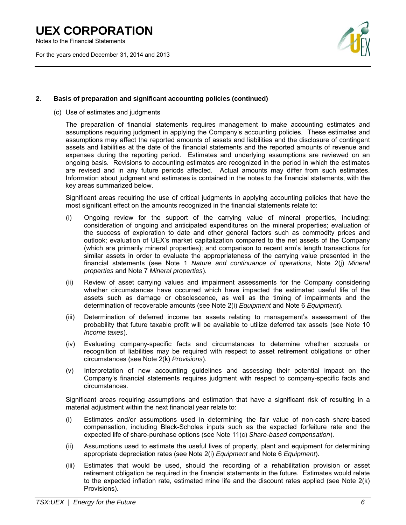Notes to the Financial Statements

For the years ended December 31, 2014 and 2013



# **2. Basis of preparation and significant accounting policies (continued)**

(c) Use of estimates and judgments

 The preparation of financial statements requires management to make accounting estimates and assumptions requiring judgment in applying the Company's accounting policies. These estimates and assumptions may affect the reported amounts of assets and liabilities and the disclosure of contingent assets and liabilities at the date of the financial statements and the reported amounts of revenue and expenses during the reporting period. Estimates and underlying assumptions are reviewed on an ongoing basis. Revisions to accounting estimates are recognized in the period in which the estimates are revised and in any future periods affected. Actual amounts may differ from such estimates. Information about judgment and estimates is contained in the notes to the financial statements, with the key areas summarized below.

 Significant areas requiring the use of critical judgments in applying accounting policies that have the most significant effect on the amounts recognized in the financial statements relate to:

- (i) Ongoing review for the support of the carrying value of mineral properties, including: consideration of ongoing and anticipated expenditures on the mineral properties; evaluation of the success of exploration to date and other general factors such as commodity prices and outlook; evaluation of UEX's market capitalization compared to the net assets of the Company (which are primarily mineral properties); and comparison to recent arm's length transactions for similar assets in order to evaluate the appropriateness of the carrying value presented in the financial statements (see Note 1 *Nature and continuance of operations*, Note 2(j) *Mineral properties* and Note 7 *Mineral properties*).
- (ii) Review of asset carrying values and impairment assessments for the Company considering whether circumstances have occurred which have impacted the estimated useful life of the assets such as damage or obsolescence, as well as the timing of impairments and the determination of recoverable amounts (see Note 2(i) *Equipment* and Note 6 *Equipment*).
- (iii) Determination of deferred income tax assets relating to management's assessment of the probability that future taxable profit will be available to utilize deferred tax assets (see Note 10 *Income taxes*).
- (iv) Evaluating company-specific facts and circumstances to determine whether accruals or recognition of liabilities may be required with respect to asset retirement obligations or other circumstances (see Note 2(k) *Provisions*).
- (v) Interpretation of new accounting guidelines and assessing their potential impact on the Company's financial statements requires judgment with respect to company-specific facts and circumstances.

 Significant areas requiring assumptions and estimation that have a significant risk of resulting in a material adjustment within the next financial year relate to:

- (i) Estimates and/or assumptions used in determining the fair value of non-cash share-based compensation, including Black-Scholes inputs such as the expected forfeiture rate and the expected life of share-purchase options (see Note 11(c) *Share-based compensation*).
- (ii) Assumptions used to estimate the useful lives of property, plant and equipment for determining appropriate depreciation rates (see Note 2(i) *Equipment* and Note 6 *Equipment*).
- (iii) Estimates that would be used, should the recording of a rehabilitation provision or asset retirement obligation be required in the financial statements in the future. Estimates would relate to the expected inflation rate, estimated mine life and the discount rates applied (see Note 2(k) Provisions).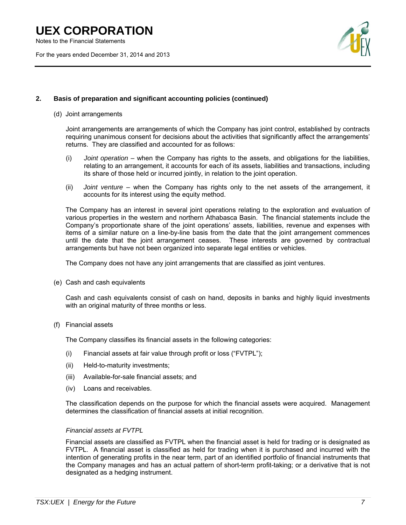Notes to the Financial Statements

For the years ended December 31, 2014 and 2013



### **2. Basis of preparation and significant accounting policies (continued)**

#### (d) Joint arrangements

Joint arrangements are arrangements of which the Company has joint control, established by contracts requiring unanimous consent for decisions about the activities that significantly affect the arrangements' returns. They are classified and accounted for as follows:

- (i) *Joint operation* when the Company has rights to the assets, and obligations for the liabilities, relating to an arrangement, it accounts for each of its assets, liabilities and transactions, including its share of those held or incurred jointly, in relation to the joint operation.
- (ii) *Joint venture* when the Company has rights only to the net assets of the arrangement, it accounts for its interest using the equity method.

 The Company has an interest in several joint operations relating to the exploration and evaluation of various properties in the western and northern Athabasca Basin. The financial statements include the Company's proportionate share of the joint operations' assets, liabilities, revenue and expenses with items of a similar nature on a line-by-line basis from the date that the joint arrangement commences until the date that the joint arrangement ceases. These interests are governed by contractual arrangements but have not been organized into separate legal entities or vehicles.

The Company does not have any joint arrangements that are classified as joint ventures.

(e) Cash and cash equivalents

 Cash and cash equivalents consist of cash on hand, deposits in banks and highly liquid investments with an original maturity of three months or less.

(f) Financial assets

The Company classifies its financial assets in the following categories:

- (i) Financial assets at fair value through profit or loss ("FVTPL");
- (ii) Held-to-maturity investments;
- (iii) Available-for-sale financial assets; and
- (iv) Loans and receivables.

 The classification depends on the purpose for which the financial assets were acquired. Management determines the classification of financial assets at initial recognition.

#### *Financial assets at FVTPL*

 Financial assets are classified as FVTPL when the financial asset is held for trading or is designated as FVTPL. A financial asset is classified as held for trading when it is purchased and incurred with the intention of generating profits in the near term, part of an identified portfolio of financial instruments that the Company manages and has an actual pattern of short-term profit-taking; or a derivative that is not designated as a hedging instrument.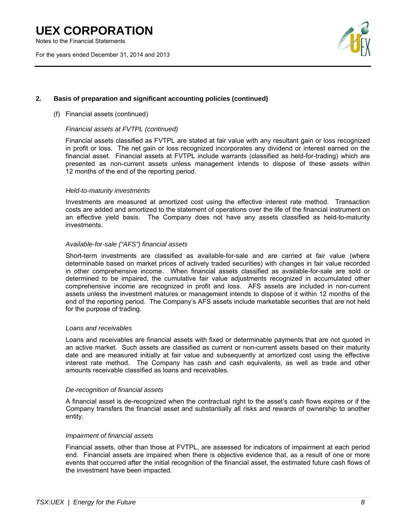Notes to the Financial Statements

For the years ended December 31, 2014 and 2013



### **2. Basis of preparation and significant accounting policies (continued)**

### (f) Financial assets (continued)

### *Financial assets at FVTPL (continued)*

Financial assets classified as FVTPL are stated at fair value with any resultant gain or loss recognized in profit or loss. The net gain or loss recognized incorporates any dividend or interest earned on the financial asset. Financial assets at FVTPL include warrants (classified as held-for-trading) which are presented as non-current assets unless management intends to dispose of these assets within 12 months of the end of the reporting period.

#### *Held-to-maturity investments*

 Investments are measured at amortized cost using the effective interest rate method. Transaction costs are added and amortized to the statement of operations over the life of the financial instrument on an effective yield basis. The Company does not have any assets classified as held-to-maturity investments.

# *Available-for-sale ("AFS") financial assets*

 Short-term investments are classified as available-for-sale and are carried at fair value (where determinable based on market prices of actively traded securities) with changes in fair value recorded in other comprehensive income. When financial assets classified as available-for-sale are sold or determined to be impaired, the cumulative fair value adjustments recognized in accumulated other comprehensive income are recognized in profit and loss. AFS assets are included in non-current assets unless the investment matures or management intends to dispose of it within 12 months of the end of the reporting period. The Company's AFS assets include marketable securities that are not held for the purpose of trading.

#### *Loans and receivables*

 Loans and receivables are financial assets with fixed or determinable payments that are not quoted in an active market. Such assets are classified as current or non-current assets based on their maturity date and are measured initially at fair value and subsequently at amortized cost using the effective interest rate method. The Company has cash and cash equivalents, as well as trade and other amounts receivable classified as loans and receivables.

# *De-recognition of financial assets*

 A financial asset is de-recognized when the contractual right to the asset's cash flows expires or if the Company transfers the financial asset and substantially all risks and rewards of ownership to another entity.

#### *Impairment of financial assets*

 Financial assets, other than those at FVTPL, are assessed for indicators of impairment at each period end. Financial assets are impaired when there is objective evidence that, as a result of one or more events that occurred after the initial recognition of the financial asset, the estimated future cash flows of the investment have been impacted.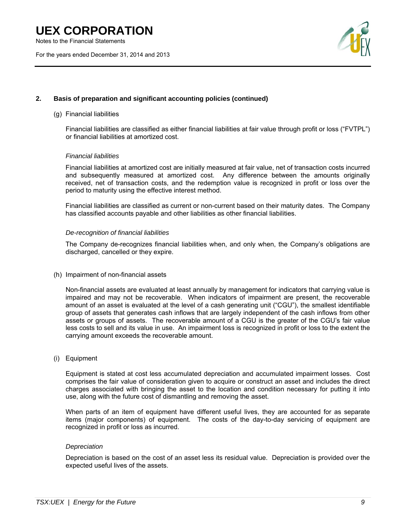Notes to the Financial Statements

For the years ended December 31, 2014 and 2013



# **2. Basis of preparation and significant accounting policies (continued)**

### (g) Financial liabilities

 Financial liabilities are classified as either financial liabilities at fair value through profit or loss ("FVTPL") or financial liabilities at amortized cost.

### *Financial liabilities*

Financial liabilities at amortized cost are initially measured at fair value, net of transaction costs incurred and subsequently measured at amortized cost. Any difference between the amounts originally received, net of transaction costs, and the redemption value is recognized in profit or loss over the period to maturity using the effective interest method.

Financial liabilities are classified as current or non-current based on their maturity dates. The Company has classified accounts payable and other liabilities as other financial liabilities.

### *De-recognition of financial liabilities*

The Company de-recognizes financial liabilities when, and only when, the Company's obligations are discharged, cancelled or they expire.

(h) Impairment of non-financial assets

 Non-financial assets are evaluated at least annually by management for indicators that carrying value is impaired and may not be recoverable. When indicators of impairment are present, the recoverable amount of an asset is evaluated at the level of a cash generating unit ("CGU"), the smallest identifiable group of assets that generates cash inflows that are largely independent of the cash inflows from other assets or groups of assets. The recoverable amount of a CGU is the greater of the CGU's fair value less costs to sell and its value in use. An impairment loss is recognized in profit or loss to the extent the carrying amount exceeds the recoverable amount.

(i) Equipment

Equipment is stated at cost less accumulated depreciation and accumulated impairment losses. Cost comprises the fair value of consideration given to acquire or construct an asset and includes the direct charges associated with bringing the asset to the location and condition necessary for putting it into use, along with the future cost of dismantling and removing the asset.

 When parts of an item of equipment have different useful lives, they are accounted for as separate items (major components) of equipment. The costs of the day-to-day servicing of equipment are recognized in profit or loss as incurred.

# *Depreciation*

Depreciation is based on the cost of an asset less its residual value. Depreciation is provided over the expected useful lives of the assets.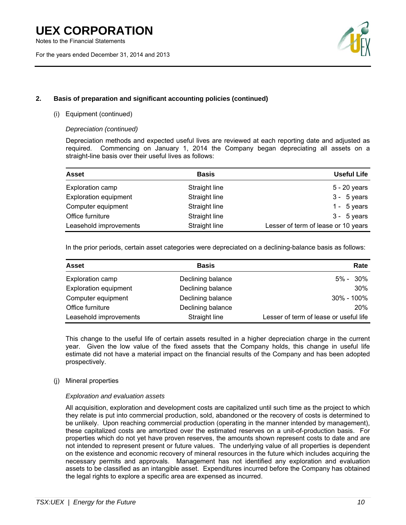Notes to the Financial Statements

For the years ended December 31, 2014 and 2013



# **2. Basis of preparation and significant accounting policies (continued)**

### (i) Equipment (continued)

# *Depreciation (continued)*

 Depreciation methods and expected useful lives are reviewed at each reporting date and adjusted as required. Commencing on January 1, 2014 the Company began depreciating all assets on a straight-line basis over their useful lives as follows:

| <b>Asset</b>                 | <b>Basis</b>  | <b>Useful Life</b>                  |
|------------------------------|---------------|-------------------------------------|
| Exploration camp             | Straight line | 5 - 20 years                        |
| <b>Exploration equipment</b> | Straight line | $3 - 5$ years                       |
| Computer equipment           | Straight line | 1 - $5$ years                       |
| Office furniture             | Straight line | $3 - 5$ years                       |
| Leasehold improvements       | Straight line | Lesser of term of lease or 10 years |

In the prior periods, certain asset categories were depreciated on a declining-balance basis as follows:

| Asset                        | <b>Basis</b>      | Rate                                   |
|------------------------------|-------------------|----------------------------------------|
| Exploration camp             | Declining balance | $5\% - 30\%$                           |
| <b>Exploration equipment</b> | Declining balance | $30\%$                                 |
| Computer equipment           | Declining balance | $30\%$ - 100%                          |
| Office furniture             | Declining balance | <b>20%</b>                             |
| Leasehold improvements       | Straight line     | Lesser of term of lease or useful life |

This change to the useful life of certain assets resulted in a higher depreciation charge in the current year. Given the low value of the fixed assets that the Company holds, this change in useful life estimate did not have a material impact on the financial results of the Company and has been adopted prospectively.

# (j) Mineral properties

#### *Exploration and evaluation assets*

 All acquisition, exploration and development costs are capitalized until such time as the project to which they relate is put into commercial production, sold, abandoned or the recovery of costs is determined to be unlikely. Upon reaching commercial production (operating in the manner intended by management), these capitalized costs are amortized over the estimated reserves on a unit-of-production basis. For properties which do not yet have proven reserves, the amounts shown represent costs to date and are not intended to represent present or future values. The underlying value of all properties is dependent on the existence and economic recovery of mineral resources in the future which includes acquiring the necessary permits and approvals. Management has not identified any exploration and evaluation assets to be classified as an intangible asset. Expenditures incurred before the Company has obtained the legal rights to explore a specific area are expensed as incurred.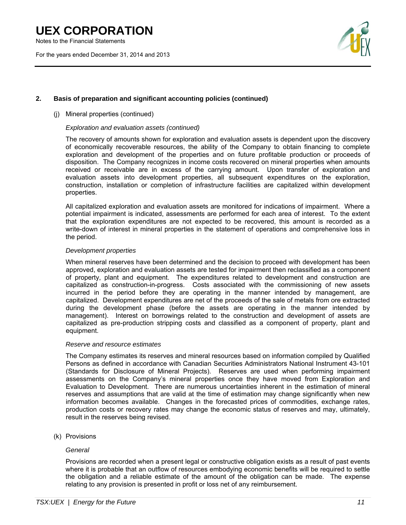Notes to the Financial Statements

For the years ended December 31, 2014 and 2013



### **2. Basis of preparation and significant accounting policies (continued)**

### (j) Mineral properties (continued)

### *Exploration and evaluation assets (continued)*

 The recovery of amounts shown for exploration and evaluation assets is dependent upon the discovery of economically recoverable resources, the ability of the Company to obtain financing to complete exploration and development of the properties and on future profitable production or proceeds of disposition. The Company recognizes in income costs recovered on mineral properties when amounts received or receivable are in excess of the carrying amount. Upon transfer of exploration and evaluation assets into development properties, all subsequent expenditures on the exploration, construction, installation or completion of infrastructure facilities are capitalized within development properties.

All capitalized exploration and evaluation assets are monitored for indications of impairment. Where a potential impairment is indicated, assessments are performed for each area of interest. To the extent that the exploration expenditures are not expected to be recovered, this amount is recorded as a write-down of interest in mineral properties in the statement of operations and comprehensive loss in the period.

#### *Development properties*

 When mineral reserves have been determined and the decision to proceed with development has been approved, exploration and evaluation assets are tested for impairment then reclassified as a component of property, plant and equipment. The expenditures related to development and construction are capitalized as construction-in-progress. Costs associated with the commissioning of new assets incurred in the period before they are operating in the manner intended by management, are capitalized. Development expenditures are net of the proceeds of the sale of metals from ore extracted during the development phase (before the assets are operating in the manner intended by management). Interest on borrowings related to the construction and development of assets are capitalized as pre-production stripping costs and classified as a component of property, plant and equipment.

#### *Reserve and resource estimates*

 The Company estimates its reserves and mineral resources based on information compiled by Qualified Persons as defined in accordance with Canadian Securities Administrators National Instrument 43-101 (Standards for Disclosure of Mineral Projects). Reserves are used when performing impairment assessments on the Company's mineral properties once they have moved from Exploration and Evaluation to Development. There are numerous uncertainties inherent in the estimation of mineral reserves and assumptions that are valid at the time of estimation may change significantly when new information becomes available. Changes in the forecasted prices of commodities, exchange rates, production costs or recovery rates may change the economic status of reserves and may, ultimately, result in the reserves being revised.

(k) Provisions

# *General*

 Provisions are recorded when a present legal or constructive obligation exists as a result of past events where it is probable that an outflow of resources embodying economic benefits will be required to settle the obligation and a reliable estimate of the amount of the obligation can be made. The expense relating to any provision is presented in profit or loss net of any reimbursement.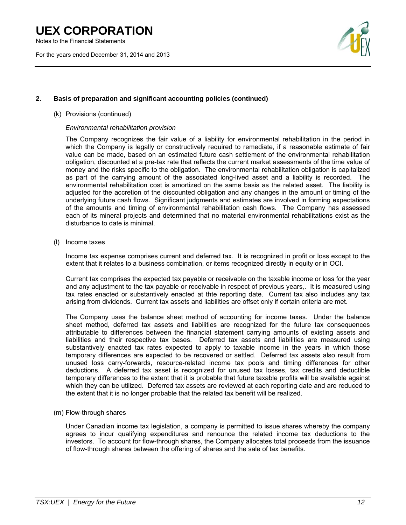Notes to the Financial Statements

For the years ended December 31, 2014 and 2013



# **2. Basis of preparation and significant accounting policies (continued)**

### (k) Provisions (continued)

### *Environmental rehabilitation provision*

 The Company recognizes the fair value of a liability for environmental rehabilitation in the period in which the Company is legally or constructively required to remediate, if a reasonable estimate of fair value can be made, based on an estimated future cash settlement of the environmental rehabilitation obligation, discounted at a pre-tax rate that reflects the current market assessments of the time value of money and the risks specific to the obligation. The environmental rehabilitation obligation is capitalized as part of the carrying amount of the associated long-lived asset and a liability is recorded. The environmental rehabilitation cost is amortized on the same basis as the related asset. The liability is adjusted for the accretion of the discounted obligation and any changes in the amount or timing of the underlying future cash flows. Significant judgments and estimates are involved in forming expectations of the amounts and timing of environmental rehabilitation cash flows. The Company has assessed each of its mineral projects and determined that no material environmental rehabilitations exist as the disturbance to date is minimal.

(l) Income taxes

 Income tax expense comprises current and deferred tax. It is recognized in profit or loss except to the extent that it relates to a business combination, or items recognized directly in equity or in OCI.

 Current tax comprises the expected tax payable or receivable on the taxable income or loss for the year and any adjustment to the tax payable or receivable in respect of previous years,. It is measured using tax rates enacted or substantively enacted at thte reporting date. Current tax also includes any tax arising from dividends. Current tax assets and liabilities are offset only if certain criteria are met.

 The Company uses the balance sheet method of accounting for income taxes. Under the balance sheet method, deferred tax assets and liabilities are recognized for the future tax consequences attributable to differences between the financial statement carrying amounts of existing assets and liabilities and their respective tax bases. Deferred tax assets and liabilities are measured using substantively enacted tax rates expected to apply to taxable income in the years in which those temporary differences are expected to be recovered or settled. Deferred tax assets also result from unused loss carry-forwards, resource-related income tax pools and timing differences for other deductions. A deferred tax asset is recognized for unused tax losses, tax credits and deductible temporary differences to the extent that it is probable that future taxable profits will be available against which they can be utilized. Deferred tax assets are reviewed at each reporting date and are reduced to the extent that it is no longer probable that the related tax benefit will be realized.

(m) Flow-through shares

 Under Canadian income tax legislation, a company is permitted to issue shares whereby the company agrees to incur qualifying expenditures and renounce the related income tax deductions to the investors. To account for flow-through shares, the Company allocates total proceeds from the issuance of flow-through shares between the offering of shares and the sale of tax benefits.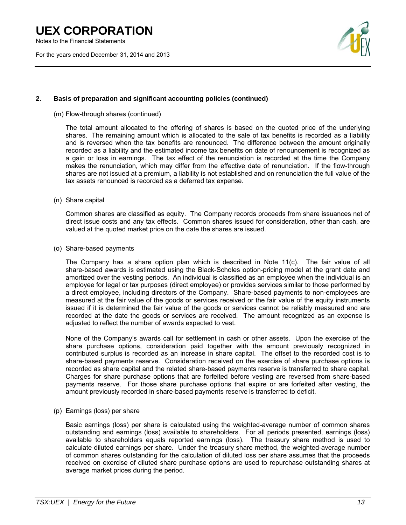Notes to the Financial Statements

For the years ended December 31, 2014 and 2013



### **2. Basis of preparation and significant accounting policies (continued)**

(m) Flow-through shares (continued)

 The total amount allocated to the offering of shares is based on the quoted price of the underlying shares. The remaining amount which is allocated to the sale of tax benefits is recorded as a liability and is reversed when the tax benefits are renounced. The difference between the amount originally recorded as a liability and the estimated income tax benefits on date of renouncement is recognized as a gain or loss in earnings. The tax effect of the renunciation is recorded at the time the Company makes the renunciation, which may differ from the effective date of renunciation. If the flow-through shares are not issued at a premium, a liability is not established and on renunciation the full value of the tax assets renounced is recorded as a deferred tax expense.

(n) Share capital

 Common shares are classified as equity. The Company records proceeds from share issuances net of direct issue costs and any tax effects. Common shares issued for consideration, other than cash, are valued at the quoted market price on the date the shares are issued.

(o) Share-based payments

 The Company has a share option plan which is described in Note 11(c). The fair value of all share-based awards is estimated using the Black-Scholes option-pricing model at the grant date and amortized over the vesting periods. An individual is classified as an employee when the individual is an employee for legal or tax purposes (direct employee) or provides services similar to those performed by a direct employee, including directors of the Company. Share-based payments to non-employees are measured at the fair value of the goods or services received or the fair value of the equity instruments issued if it is determined the fair value of the goods or services cannot be reliably measured and are recorded at the date the goods or services are received. The amount recognized as an expense is adjusted to reflect the number of awards expected to vest.

 None of the Company's awards call for settlement in cash or other assets. Upon the exercise of the share purchase options, consideration paid together with the amount previously recognized in contributed surplus is recorded as an increase in share capital. The offset to the recorded cost is to share-based payments reserve. Consideration received on the exercise of share purchase options is recorded as share capital and the related share-based payments reserve is transferred to share capital. Charges for share purchase options that are forfeited before vesting are reversed from share-based payments reserve. For those share purchase options that expire or are forfeited after vesting, the amount previously recorded in share-based payments reserve is transferred to deficit.

(p) Earnings (loss) per share

 Basic earnings (loss) per share is calculated using the weighted-average number of common shares outstanding and earnings (loss) available to shareholders. For all periods presented, earnings (loss) available to shareholders equals reported earnings (loss). The treasury share method is used to calculate diluted earnings per share. Under the treasury share method, the weighted-average number of common shares outstanding for the calculation of diluted loss per share assumes that the proceeds received on exercise of diluted share purchase options are used to repurchase outstanding shares at average market prices during the period.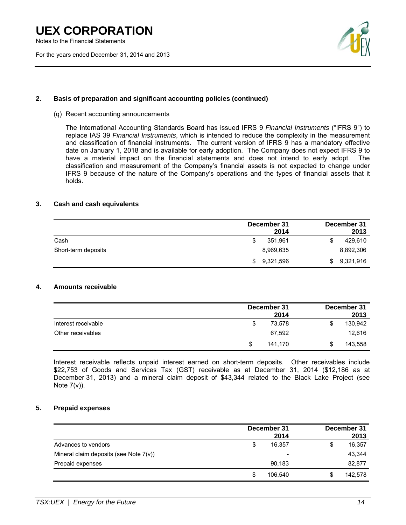Notes to the Financial Statements

For the years ended December 31, 2014 and 2013



# **2. Basis of preparation and significant accounting policies (continued)**

#### (q) Recent accounting announcements

 The International Accounting Standards Board has issued IFRS 9 *Financial Instruments* ("IFRS 9") to replace IAS 39 *Financial Instruments*, which is intended to reduce the complexity in the measurement and classification of financial instruments. The current version of IFRS 9 has a mandatory effective date on January 1, 2018 and is available for early adoption. The Company does not expect IFRS 9 to have a material impact on the financial statements and does not intend to early adopt. The classification and measurement of the Company's financial assets is not expected to change under IFRS 9 because of the nature of the Company's operations and the types of financial assets that it holds.

# **3. Cash and cash equivalents**

|                     |    | December 31<br>2014 |    | December 31<br>2013 |
|---------------------|----|---------------------|----|---------------------|
| Cash                |    | 351.961             |    | 429,610             |
| Short-term deposits |    | 8,969,635           |    | 8,892,306           |
|                     | S. | 9,321,596           | S. | 9,321,916           |

#### **4. Amounts receivable**

|                     | December 31 | 2014    |    | December 31<br>2013 |
|---------------------|-------------|---------|----|---------------------|
| Interest receivable |             | 73,578  | \$ | 130,942             |
| Other receivables   |             | 67,592  |    | 12,616              |
|                     | S           | 141.170 | S  | 143,558             |

 Interest receivable reflects unpaid interest earned on short-term deposits. Other receivables include \$22,753 of Goods and Services Tax (GST) receivable as at December 31, 2014 (\$12,186 as at December 31, 2013) and a mineral claim deposit of \$43,344 related to the Black Lake Project (see Note  $7(v)$ ).

### **5. Prepaid expenses**

|                                           |   | December 31<br>2014 |    | December 31<br>2013 |
|-------------------------------------------|---|---------------------|----|---------------------|
| Advances to vendors                       | S | 16.357              | \$ | 16,357              |
| Mineral claim deposits (see Note $7(v)$ ) |   | -                   |    | 43,344              |
| Prepaid expenses                          |   | 90,183              |    | 82,877              |
|                                           | S | 106.540             | S  | 142,578             |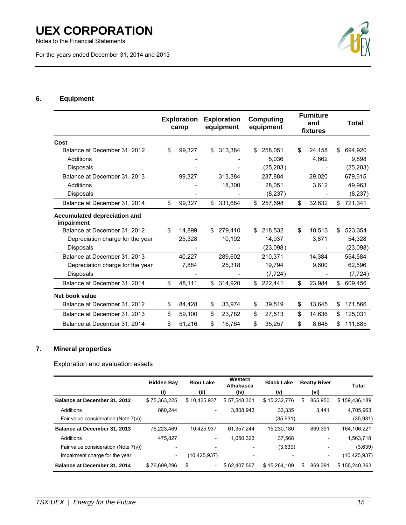Notes to the Financial Statements

For the years ended December 31, 2014 and 2013



# **6. Equipment**

|                                            | <b>Exploration</b><br>camp |     | <b>Exploration</b><br>equipment |     | Computing<br>equipment | <b>Furniture</b><br>and<br>fixtures |     | <b>Total</b> |
|--------------------------------------------|----------------------------|-----|---------------------------------|-----|------------------------|-------------------------------------|-----|--------------|
| Cost                                       |                            |     |                                 |     |                        |                                     |     |              |
| Balance at December 31, 2012               | \$<br>99,327               | \$  | 313,384                         | \$  | 258,051                | \$<br>24,158                        | S   | 694,920      |
| Additions                                  |                            |     |                                 |     | 5,036                  | 4,862                               |     | 9,898        |
| <b>Disposals</b>                           |                            |     |                                 |     | (25, 203)              |                                     |     | (25, 203)    |
| Balance at December 31, 2013               | 99,327                     |     | 313,384                         |     | 237,884                | 29,020                              |     | 679,615      |
| Additions                                  |                            |     | 18,300                          |     | 28,051                 | 3,612                               |     | 49,963       |
| <b>Disposals</b>                           |                            |     |                                 |     | (8, 237)               |                                     |     | (8, 237)     |
| Balance at December 31, 2014               | \$<br>99,327               | \$  | 331,684                         | \$  | 257,698                | \$<br>32,632                        | \$  | 721,341      |
| Accumulated depreciation and<br>impairment |                            |     |                                 |     |                        |                                     |     |              |
| Balance at December 31, 2012               | \$<br>14.899               | \$. | 279.410                         | \$. | 218.532                | \$<br>10.513                        | \$. | 523,354      |
| Depreciation charge for the year           | 25,328                     |     | 10,192                          |     | 14,937                 | 3,871                               |     | 54,328       |
| <b>Disposals</b>                           |                            |     |                                 |     | (23,098)               |                                     |     | (23,098)     |
| Balance at December 31, 2013               | 40,227                     |     | 289,602                         |     | 210,371                | 14.384                              |     | 554,584      |
| Depreciation charge for the year           | 7,884                      |     | 25,318                          |     | 19,794                 | 9,600                               |     | 62,596       |
| Disposals                                  |                            |     |                                 |     | (7, 724)               |                                     |     | (7, 724)     |
| Balance at December 31, 2014               | \$<br>48,111               | \$  | 314,920                         | \$  | 222,441                | \$<br>23,984                        | \$  | 609,456      |
| Net book value                             |                            |     |                                 |     |                        |                                     |     |              |
| Balance at December 31, 2012               | \$<br>84,428               | \$  | 33,974                          | \$  | 39,519                 | \$<br>13,645                        | \$  | 171,566      |
| Balance at December 31, 2013               | \$<br>59,100               | \$  | 23,782                          | \$  | 27,513                 | \$<br>14,636                        | \$  | 125,031      |
| Balance at December 31, 2014               | \$<br>51,216               | \$  | 16,764                          | \$  | 35,257                 | \$<br>8,648                         | S   | 111,885      |

# **7. Mineral properties**

Exploration and evaluation assets

|                                         | <b>Hidden Bav</b><br>(i) | <b>Riou Lake</b><br>(ii) | Western<br>Athabasca<br>(iv) | <b>Black Lake</b><br>(v) | <b>Beatty River</b>      | Total          |
|-----------------------------------------|--------------------------|--------------------------|------------------------------|--------------------------|--------------------------|----------------|
|                                         |                          |                          |                              |                          | (vi)                     |                |
| Balance at December 31, 2012            | \$75,363,225             | \$10,425,937             | \$57,548,301                 | \$15,232,776             | 865.950<br>S             | \$159,436,189  |
| Additions                               | 860.244                  |                          | 3,808,943                    | 33.335                   | 3.441                    | 4,705,963      |
| Fair value consideration (Note $7(v)$ ) |                          |                          |                              | (35, 931)                |                          | (35, 931)      |
| Balance at December 31, 2013            | 76.223.469               | 10.425.937               | 61.357.244                   | 15,230,180               | 869.391                  | 164,106,221    |
| Additions                               | 475.827                  | $\overline{\phantom{0}}$ | 1,050,323                    | 37.568                   | $\overline{\phantom{a}}$ | 1,563,718      |
| Fair value consideration (Note $7(v)$ ) |                          |                          |                              | (3,639)                  | $\overline{\phantom{a}}$ | (3,639)        |
| Impairment charge for the year          | $\overline{\phantom{a}}$ | (10, 425, 937)           |                              |                          | $\overline{\phantom{a}}$ | (10, 425, 937) |
| Balance at December 31, 2014            | \$76,699,296             | \$                       | \$62,407,567                 | \$15,264,109             | 869.391<br>\$            | \$155,240,363  |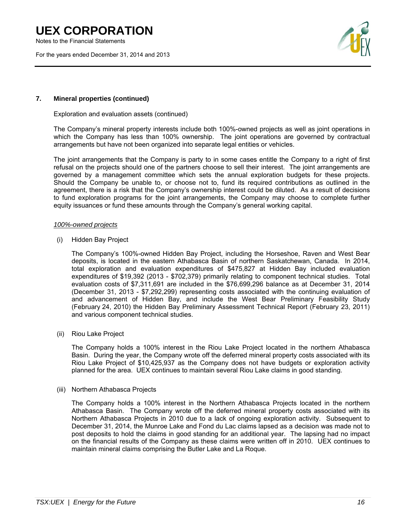Notes to the Financial Statements

For the years ended December 31, 2014 and 2013



# **7. Mineral properties (continued)**

Exploration and evaluation assets (continued)

The Company's mineral property interests include both 100%-owned projects as well as joint operations in which the Company has less than 100% ownership. The joint operations are governed by contractual arrangements but have not been organized into separate legal entities or vehicles.

The joint arrangements that the Company is party to in some cases entitle the Company to a right of first refusal on the projects should one of the partners choose to sell their interest. The joint arrangements are governed by a management committee which sets the annual exploration budgets for these projects. Should the Company be unable to, or choose not to, fund its required contributions as outlined in the agreement, there is a risk that the Company's ownership interest could be diluted. As a result of decisions to fund exploration programs for the joint arrangements, the Company may choose to complete further equity issuances or fund these amounts through the Company's general working capital.

#### *100%-owned projects*

(i) Hidden Bay Project

 The Company's 100%-owned Hidden Bay Project, including the Horseshoe, Raven and West Bear deposits, is located in the eastern Athabasca Basin of northern Saskatchewan, Canada. In 2014, total exploration and evaluation expenditures of \$475,827 at Hidden Bay included evaluation expenditures of \$19,392 (2013 - \$702,379) primarily relating to component technical studies. Total evaluation costs of \$7,311,691 are included in the \$76,699,296 balance as at December 31, 2014 (December 31, 2013 - \$7,292,299) representing costs associated with the continuing evaluation of and advancement of Hidden Bay, and include the West Bear Preliminary Feasibility Study (February 24, 2010) the Hidden Bay Preliminary Assessment Technical Report (February 23, 2011) and various component technical studies.

(ii) Riou Lake Project

 The Company holds a 100% interest in the Riou Lake Project located in the northern Athabasca Basin. During the year, the Company wrote off the deferred mineral property costs associated with its Riou Lake Project of \$10,425,937 as the Company does not have budgets or exploration activity planned for the area. UEX continues to maintain several Riou Lake claims in good standing.

(iii) Northern Athabasca Projects

 The Company holds a 100% interest in the Northern Athabasca Projects located in the northern Athabasca Basin. The Company wrote off the deferred mineral property costs associated with its Northern Athabasca Projects in 2010 due to a lack of ongoing exploration activity. Subsequent to December 31, 2014, the Munroe Lake and Fond du Lac claims lapsed as a decision was made not to post deposits to hold the claims in good standing for an additional year. The lapsing had no impact on the financial results of the Company as these claims were written off in 2010. UEX continues to maintain mineral claims comprising the Butler Lake and La Roque.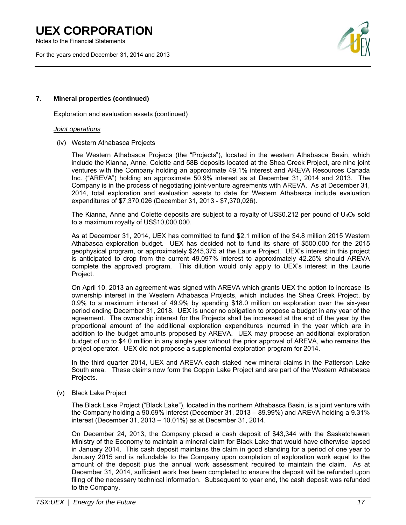Notes to the Financial Statements

For the years ended December 31, 2014 and 2013



# **7. Mineral properties (continued)**

Exploration and evaluation assets (continued)

### *Joint operations*

(iv) Western Athabasca Projects

 The Western Athabasca Projects (the "Projects"), located in the western Athabasca Basin, which include the Kianna, Anne, Colette and 58B deposits located at the Shea Creek Project, are nine joint ventures with the Company holding an approximate 49.1% interest and AREVA Resources Canada Inc. ("AREVA") holding an approximate 50.9% interest as at December 31, 2014 and 2013. The Company is in the process of negotiating joint-venture agreements with AREVA. As at December 31, 2014, total exploration and evaluation assets to date for Western Athabasca include evaluation expenditures of \$7,370,026 (December 31, 2013 - \$7,370,026).

The Kianna, Anne and Colette deposits are subject to a royalty of US\$0.212 per pound of  $U_3O_8$  sold to a maximum royalty of US\$10,000,000.

 As at December 31, 2014, UEX has committed to fund \$2.1 million of the \$4.8 million 2015 Western Athabasca exploration budget. UEX has decided not to fund its share of \$500,000 for the 2015 geophysical program, or approximately \$245,375 at the Laurie Project. UEX's interest in this project is anticipated to drop from the current 49.097% interest to approximately 42.25% should AREVA complete the approved program. This dilution would only apply to UEX's interest in the Laurie Project.

 On April 10, 2013 an agreement was signed with AREVA which grants UEX the option to increase its ownership interest in the Western Athabasca Projects, which includes the Shea Creek Project, by 0.9% to a maximum interest of 49.9% by spending \$18.0 million on exploration over the six-year period ending December 31, 2018. UEX is under no obligation to propose a budget in any year of the agreement. The ownership interest for the Projects shall be increased at the end of the year by the proportional amount of the additional exploration expenditures incurred in the year which are in addition to the budget amounts proposed by AREVA. UEX may propose an additional exploration budget of up to \$4.0 million in any single year without the prior approval of AREVA, who remains the project operator. UEX did not propose a supplemental exploration program for 2014.

 In the third quarter 2014, UEX and AREVA each staked new mineral claims in the Patterson Lake South area. These claims now form the Coppin Lake Project and are part of the Western Athabasca Projects.

(v) Black Lake Project

 The Black Lake Project ("Black Lake"), located in the northern Athabasca Basin, is a joint venture with the Company holding a 90.69% interest (December 31, 2013 – 89.99%) and AREVA holding a 9.31% interest (December 31, 2013 – 10.01%) as at December 31, 2014.

On December 24, 2013, the Company placed a cash deposit of \$43,344 with the Saskatchewan Ministry of the Economy to maintain a mineral claim for Black Lake that would have otherwise lapsed in January 2014. This cash deposit maintains the claim in good standing for a period of one year to January 2015 and is refundable to the Company upon completion of exploration work equal to the amount of the deposit plus the annual work assessment required to maintain the claim. As at December 31, 2014, sufficient work has been completed to ensure the deposit will be refunded upon filing of the necessary technical information. Subsequent to year end, the cash deposit was refunded to the Company.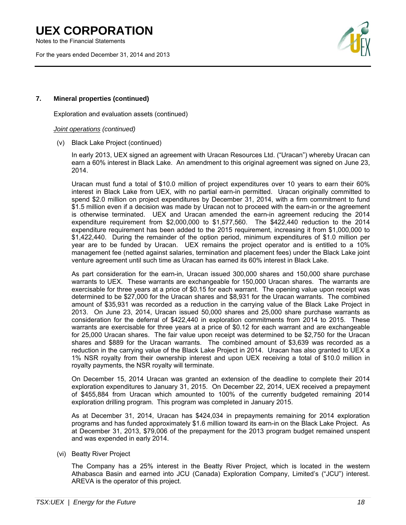Notes to the Financial Statements

For the years ended December 31, 2014 and 2013



# **7. Mineral properties (continued)**

Exploration and evaluation assets (continued)

### *Joint operations (continued)*

(v) Black Lake Project (continued)

 In early 2013, UEX signed an agreement with Uracan Resources Ltd. ("Uracan") whereby Uracan can earn a 60% interest in Black Lake. An amendment to this original agreement was signed on June 23, 2014.

 Uracan must fund a total of \$10.0 million of project expenditures over 10 years to earn their 60% interest in Black Lake from UEX, with no partial earn-in permitted. Uracan originally committed to spend \$2.0 million on project expenditures by December 31, 2014, with a firm commitment to fund \$1.5 million even if a decision was made by Uracan not to proceed with the earn-in or the agreement is otherwise terminated. UEX and Uracan amended the earn-in agreement reducing the 2014 expenditure requirement from \$2,000,000 to \$1,577,560. The \$422,440 reduction to the 2014 expenditure requirement has been added to the 2015 requirement, increasing it from \$1,000,000 to \$1,422,440. During the remainder of the option period, minimum expenditures of \$1.0 million per year are to be funded by Uracan. UEX remains the project operator and is entitled to a 10% management fee (netted against salaries, termination and placement fees) under the Black Lake joint venture agreement until such time as Uracan has earned its 60% interest in Black Lake.

 As part consideration for the earn-in, Uracan issued 300,000 shares and 150,000 share purchase warrants to UEX. These warrants are exchangeable for 150,000 Uracan shares. The warrants are exercisable for three years at a price of \$0.15 for each warrant. The opening value upon receipt was determined to be \$27,000 for the Uracan shares and \$8,931 for the Uracan warrants. The combined amount of \$35,931 was recorded as a reduction in the carrying value of the Black Lake Project in 2013. On June 23, 2014, Uracan issued 50,000 shares and 25,000 share purchase warrants as consideration for the deferral of \$422,440 in exploration commitments from 2014 to 2015. These warrants are exercisable for three years at a price of \$0.12 for each warrant and are exchangeable for 25,000 Uracan shares. The fair value upon receipt was determined to be \$2,750 for the Uracan shares and \$889 for the Uracan warrants. The combined amount of \$3,639 was recorded as a reduction in the carrying value of the Black Lake Project in 2014. Uracan has also granted to UEX a 1% NSR royalty from their ownership interest and upon UEX receiving a total of \$10.0 million in royalty payments, the NSR royalty will terminate.

 On December 15, 2014 Uracan was granted an extension of the deadline to complete their 2014 exploration expenditures to January 31, 2015. On December 22, 2014, UEX received a prepayment of \$455,884 from Uracan which amounted to 100% of the currently budgeted remaining 2014 exploration drilling program. This program was completed in January 2015.

 As at December 31, 2014, Uracan has \$424,034 in prepayments remaining for 2014 exploration programs and has funded approximately \$1.6 million toward its earn-in on the Black Lake Project. As at December 31, 2013, \$79,006 of the prepayment for the 2013 program budget remained unspent and was expended in early 2014.

# (vi) Beatty River Project

 The Company has a 25% interest in the Beatty River Project, which is located in the western Athabasca Basin and earned into JCU (Canada) Exploration Company, Limited's ("JCU") interest. AREVA is the operator of this project.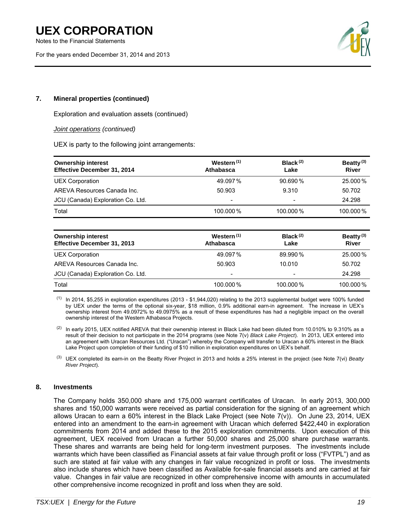Notes to the Financial Statements

For the years ended December 31, 2014 and 2013



# **7. Mineral properties (continued)**

Exploration and evaluation assets (continued)

 *Joint operations (continued)* 

UEX is party to the following joint arrangements:

| <b>Ownership interest</b><br>Effective December 31, 2014 | Western $(1)$<br>Athabasca | Black $(2)$<br>Lake | Beatty $(3)$<br>River |
|----------------------------------------------------------|----------------------------|---------------------|-----------------------|
| <b>UEX Corporation</b>                                   | 49.097%                    | $90.690\%$          | 25.000 %              |
| AREVA Resources Canada Inc.                              | 50.903                     | 9.310               | 50.702                |
| JCU (Canada) Exploration Co. Ltd.                        | -                          | -                   | 24.298                |
| Total                                                    | 100.000%                   | 100.000%            | 100.000%              |

| <b>Ownership interest</b><br>Effective December 31, 2013 | Western $(1)$<br>Athabasca | Black $(2)$<br>Lake      | Beatty $(3)$<br><b>River</b> |
|----------------------------------------------------------|----------------------------|--------------------------|------------------------------|
| <b>UEX Corporation</b>                                   | 49.097%                    | 89.990%                  | 25.000 %                     |
| AREVA Resources Canada Inc.                              | 50.903                     | 10.010                   | 50.702                       |
| JCU (Canada) Exploration Co. Ltd.                        | $\overline{\phantom{0}}$   | $\overline{\phantom{0}}$ | 24.298                       |
| Total                                                    | 100.000%                   | 100.000%                 | 100.000%                     |

 $(1)$  In 2014, \$5,255 in exploration expenditures (2013 - \$1,944,020) relating to the 2013 supplemental budget were 100% funded by UEX under the terms of the optional six-year, \$18 million, 0.9% additional earn-in agreement. The increase in UEX's ownership interest from 49.0972% to 49.0975% as a result of these expenditures has had a negligible impact on the overall ownership interest of the Western Athabasca Projects.

 $(2)$  In early 2015, UEX notified AREVA that their ownership interest in Black Lake had been diluted from 10.010% to 9.310% as a result of their decision to not participate in the 2014 programs (see Note 7(v) *Black Lake Project*). In 2013, UEX entered into an agreement with Uracan Resources Ltd. ("Uracan") whereby the Company will transfer to Uracan a 60% interest in the Black Lake Project upon completion of their funding of \$10 million in exploration expenditures on UEX's behalf.

(3) UEX completed its earn-in on the Beatty River Project in 2013 and holds a 25% interest in the project (see Note 7(vi) *Beatty River Project*).

# **8. Investments**

The Company holds 350,000 share and 175,000 warrant certificates of Uracan. In early 2013, 300,000 shares and 150,000 warrants were received as partial consideration for the signing of an agreement which allows Uracan to earn a 60% interest in the Black Lake Project (see Note 7(v)). On June 23, 2014, UEX entered into an amendment to the earn-in agreement with Uracan which deferred \$422,440 in exploration commitments from 2014 and added these to the 2015 exploration commitments. Upon execution of this agreement, UEX received from Uracan a further 50,000 shares and 25,000 share purchase warrants. These shares and warrants are being held for long-term investment purposes. The investments include warrants which have been classified as Financial assets at fair value through profit or loss ("FVTPL") and as such are stated at fair value with any changes in fair value recognized in profit or loss. The investments also include shares which have been classified as Available for-sale financial assets and are carried at fair value. Changes in fair value are recognized in other comprehensive income with amounts in accumulated other comprehensive income recognized in profit and loss when they are sold.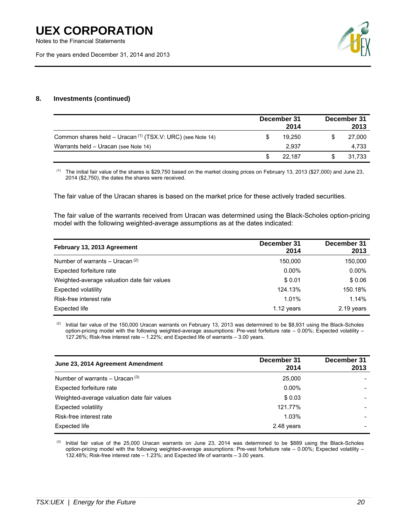Notes to the Financial Statements

For the years ended December 31, 2014 and 2013



# **8. Investments (continued)**

|                                                                       | December 31<br>2014 | December 31<br>2013 |
|-----------------------------------------------------------------------|---------------------|---------------------|
| Common shares held - Uracan <sup>(1)</sup> (TSX.V: URC) (see Note 14) | 19.250              | 27,000              |
| Warrants held - Uracan (see Note 14)                                  | 2.937               | 4,733               |
|                                                                       | 22.187              | 31.733              |

 $(1)$  The initial fair value of the shares is \$29,750 based on the market closing prices on February 13, 2013 (\$27,000) and June 23, 2014 (\$2,750), the dates the shares were received.

The fair value of the Uracan shares is based on the market price for these actively traded securities.

The fair value of the warrants received from Uracan was determined using the Black-Scholes option-pricing model with the following weighted-average assumptions as at the dates indicated:

| February 13, 2013 Agreement                 | December 31<br>2014 | December 31<br>2013 |
|---------------------------------------------|---------------------|---------------------|
| Number of warrants - Uracan <sup>(2)</sup>  | 150,000             | 150,000             |
| Expected forfeiture rate                    | $0.00\%$            | $0.00\%$            |
| Weighted-average valuation date fair values | \$0.01              | \$0.06              |
| <b>Expected volatility</b>                  | 124.13%             | 150.18%             |
| Risk-free interest rate                     | 1.01%               | 1.14%               |
| Expected life                               | 1.12 years          | 2.19 years          |

 $(2)$  Initial fair value of the 150,000 Uracan warrants on February 13, 2013 was determined to be \$8,931 using the Black-Scholes option-pricing model with the following weighted-average assumptions: Pre-vest forfeiture rate – 0.00%; Expected volatility – 127.26%; Risk-free interest rate – 1.22%; and Expected life of warrants – 3.00 years.

| June 23, 2014 Agreement Amendment           | December 31<br>2014 | December 31<br>2013 |
|---------------------------------------------|---------------------|---------------------|
| Number of warrants – Uracan $(3)$           | 25,000              |                     |
| Expected forfeiture rate                    | $0.00\%$            |                     |
| Weighted-average valuation date fair values | \$0.03              |                     |
| <b>Expected volatility</b>                  | 121.77%             |                     |
| Risk-free interest rate                     | 1.03%               |                     |
| Expected life                               | 2.48 years          |                     |

 $<sup>(3)</sup>$  Initial fair value of the 25,000 Uracan warrants on June 23, 2014 was determined to be \$889 using the Black-Scholes</sup> option-pricing model with the following weighted-average assumptions: Pre-vest forfeiture rate – 0.00%; Expected volatility – 132.48%; Risk-free interest rate – 1.23%; and Expected life of warrants – 3.00 years.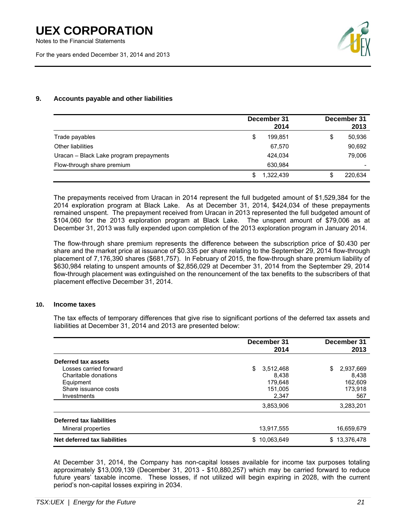Notes to the Financial Statements

For the years ended December 31, 2014 and 2013



# **9. Accounts payable and other liabilities**

|                                         |    | December 31<br>2014 | December 31<br>2013 |
|-----------------------------------------|----|---------------------|---------------------|
| Trade payables                          | \$ | 199.851             | \$<br>50,936        |
| Other liabilities                       |    | 67,570              | 90,692              |
| Uracan - Black Lake program prepayments |    | 424.034             | 79,006              |
| Flow-through share premium              |    | 630.984             |                     |
|                                         | S  | 1,322,439           | \$<br>220,634       |

The prepayments received from Uracan in 2014 represent the full budgeted amount of \$1,529,384 for the 2014 exploration program at Black Lake. As at December 31, 2014, \$424,034 of these prepayments remained unspent. The prepayment received from Uracan in 2013 represented the full budgeted amount of \$104,060 for the 2013 exploration program at Black Lake. The unspent amount of \$79,006 as at December 31, 2013 was fully expended upon completion of the 2013 exploration program in January 2014.

The flow-through share premium represents the difference between the subscription price of \$0.430 per share and the market price at issuance of \$0.335 per share relating to the September 29, 2014 flow-through placement of 7,176,390 shares (\$681,757). In February of 2015, the flow-through share premium liability of \$630,984 relating to unspent amounts of \$2,856,029 at December 31, 2014 from the September 29, 2014 flow-through placement was extinguished on the renouncement of the tax benefits to the subscribers of that placement effective December 31, 2014.

# **10. Income taxes**

 The tax effects of temporary differences that give rise to significant portions of the deferred tax assets and liabilities at December 31, 2014 and 2013 are presented below:

|                              | December 31      | December 31     |  |
|------------------------------|------------------|-----------------|--|
|                              | 2014             | 2013            |  |
| Deferred tax assets          |                  |                 |  |
| Losses carried forward       | \$<br>3,512,468  | 2,937,669<br>\$ |  |
| Charitable donations         | 8.438            | 8.438           |  |
| Equipment                    | 179.648          | 162,609         |  |
| Share issuance costs         | 151,005          | 173,918         |  |
| Investments                  | 2.347            | 567             |  |
|                              | 3,853,906        | 3,283,201       |  |
| Deferred tax liabilities     |                  |                 |  |
| Mineral properties           | 13,917,555       | 16,659,679      |  |
| Net deferred tax liabilities | 10.063.649<br>S. | \$13,376,478    |  |

 At December 31, 2014, the Company has non-capital losses available for income tax purposes totaling approximately \$13,009,139 (December 31, 2013 - \$10,880,257) which may be carried forward to reduce future years' taxable income. These losses, if not utilized will begin expiring in 2028, with the current period's non-capital losses expiring in 2034.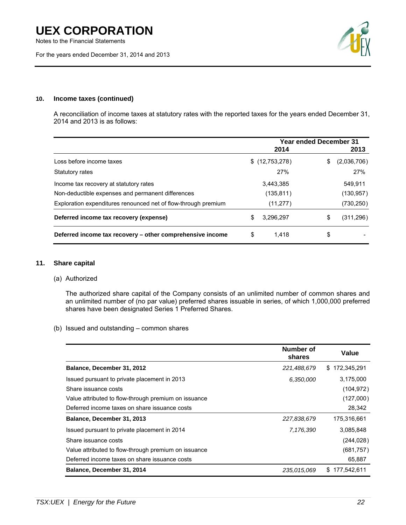Notes to the Financial Statements

For the years ended December 31, 2014 and 2013



# **10. Income taxes (continued)**

A reconciliation of income taxes at statutory rates with the reported taxes for the years ended December 31, 2014 and 2013 is as follows:

|                                                                |   | <b>Year ended December 31</b><br>2014 |    | 2013        |
|----------------------------------------------------------------|---|---------------------------------------|----|-------------|
| Loss before income taxes                                       |   | \$(12,753,278)                        | S  | (2,036,706) |
| Statutory rates                                                |   | 27%                                   |    | 27%         |
| Income tax recovery at statutory rates                         |   | 3.443.385                             |    | 549.911     |
| Non-deductible expenses and permanent differences              |   | (135, 811)                            |    | (130, 957)  |
| Exploration expenditures renounced net of flow-through premium |   | (11, 277)                             |    | (730, 250)  |
| Deferred income tax recovery (expense)                         | S | 3,296,297                             | \$ | (311, 296)  |
| Deferred income tax recovery – other comprehensive income      | S | 1,418                                 | \$ |             |

### **11. Share capital**

(a) Authorized

 The authorized share capital of the Company consists of an unlimited number of common shares and an unlimited number of (no par value) preferred shares issuable in series, of which 1,000,000 preferred shares have been designated Series 1 Preferred Shares.

(b) Issued and outstanding – common shares

|                                                      | Number of<br>shares | Value              |
|------------------------------------------------------|---------------------|--------------------|
| Balance, December 31, 2012                           | 221,488,679         | 172,345,291<br>\$. |
| Issued pursuant to private placement in 2013         | 6,350,000           | 3,175,000          |
| Share issuance costs                                 |                     | (104, 972)         |
| Value attributed to flow-through premium on issuance |                     | (127,000)          |
| Deferred income taxes on share issuance costs        |                     | 28,342             |
| Balance, December 31, 2013                           | 227,838,679         | 175,316,661        |
| Issued pursuant to private placement in 2014         | 7,176,390           | 3,085,848          |
| Share issuance costs                                 |                     | (244, 028)         |
| Value attributed to flow-through premium on issuance |                     | (681, 757)         |
| Deferred income taxes on share issuance costs        |                     | 65,887             |
| Balance, December 31, 2014                           | 235,015,069         | \$177,542,611      |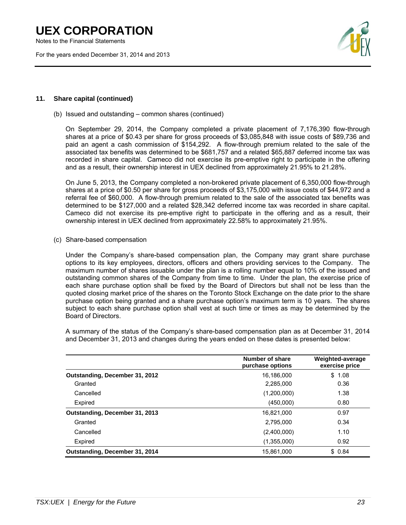Notes to the Financial Statements

For the years ended December 31, 2014 and 2013



### **11. Share capital (continued)**

(b) Issued and outstanding – common shares (continued)

On September 29, 2014, the Company completed a private placement of 7,176,390 flow-through shares at a price of \$0.43 per share for gross proceeds of \$3,085,848 with issue costs of \$89,736 and paid an agent a cash commission of \$154,292. A flow-through premium related to the sale of the associated tax benefits was determined to be \$681,757 and a related \$65,887 deferred income tax was recorded in share capital. Cameco did not exercise its pre-emptive right to participate in the offering and as a result, their ownership interest in UEX declined from approximately 21.95% to 21.28%.

On June 5, 2013, the Company completed a non-brokered private placement of 6,350,000 flow-through shares at a price of \$0.50 per share for gross proceeds of \$3,175,000 with issue costs of \$44,972 and a referral fee of \$60,000. A flow-through premium related to the sale of the associated tax benefits was determined to be \$127,000 and a related \$28,342 deferred income tax was recorded in share capital. Cameco did not exercise its pre-emptive right to participate in the offering and as a result, their ownership interest in UEX declined from approximately 22.58% to approximately 21.95%.

(c) Share-based compensation

 Under the Company's share-based compensation plan, the Company may grant share purchase options to its key employees, directors, officers and others providing services to the Company. The maximum number of shares issuable under the plan is a rolling number equal to 10% of the issued and outstanding common shares of the Company from time to time. Under the plan, the exercise price of each share purchase option shall be fixed by the Board of Directors but shall not be less than the quoted closing market price of the shares on the Toronto Stock Exchange on the date prior to the share purchase option being granted and a share purchase option's maximum term is 10 years. The shares subject to each share purchase option shall vest at such time or times as may be determined by the Board of Directors.

 A summary of the status of the Company's share-based compensation plan as at December 31, 2014 and December 31, 2013 and changes during the years ended on these dates is presented below:

|                                | Number of share<br>purchase options | Weighted-average<br>exercise price |
|--------------------------------|-------------------------------------|------------------------------------|
| Outstanding, December 31, 2012 | 16.186.000                          | \$1.08                             |
| Granted                        | 2.285.000                           | 0.36                               |
| Cancelled                      | (1,200,000)                         | 1.38                               |
| Expired                        | (450,000)                           | 0.80                               |
| Outstanding, December 31, 2013 | 16.821.000                          | 0.97                               |
| Granted                        | 2.795.000                           | 0.34                               |
| Cancelled                      | (2,400,000)                         | 1.10                               |
| Expired                        | (1,355,000)                         | 0.92                               |
| Outstanding, December 31, 2014 | 15,861,000                          | \$0.84                             |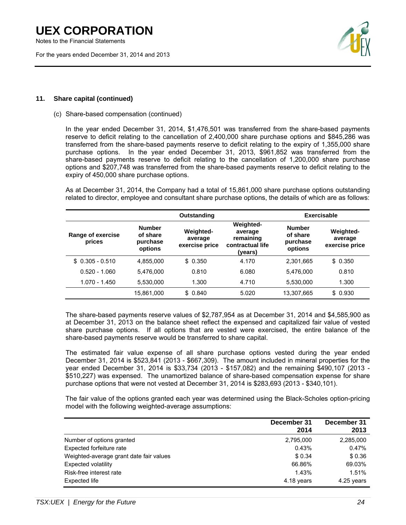Notes to the Financial Statements

For the years ended December 31, 2014 and 2013



### **11. Share capital (continued)**

#### (c) Share-based compensation (continued)

In the year ended December 31, 2014, \$1,476,501 was transferred from the share-based payments reserve to deficit relating to the cancellation of 2,400,000 share purchase options and \$845,286 was transferred from the share-based payments reserve to deficit relating to the expiry of 1,355,000 share purchase options. In the year ended December 31, 2013, \$961,852 was transferred from the share-based payments reserve to deficit relating to the cancellation of 1,200,000 share purchase options and \$207,748 was transferred from the share-based payments reserve to deficit relating to the expiry of 450,000 share purchase options.

 As at December 31, 2014, the Company had a total of 15,861,000 share purchase options outstanding related to director, employee and consultant share purchase options, the details of which are as follows:

| Outstanding                 |                                                  |                                        |                                                                         | <b>Exercisable</b>                               |                                               |
|-----------------------------|--------------------------------------------------|----------------------------------------|-------------------------------------------------------------------------|--------------------------------------------------|-----------------------------------------------|
| Range of exercise<br>prices | <b>Number</b><br>of share<br>purchase<br>options | Weighted-<br>average<br>exercise price | <b>Weighted-</b><br>average<br>remaining<br>contractual life<br>(years) | <b>Number</b><br>of share<br>purchase<br>options | <b>Weighted-</b><br>average<br>exercise price |
| $$0.305 - 0.510$            | 4.855.000                                        | \$0.350                                | 4.170                                                                   | 2.301.665                                        | \$0.350                                       |
| $0.520 - 1.060$             | 5.476.000                                        | 0.810                                  | 6.080                                                                   | 5,476,000                                        | 0.810                                         |
| 1.070 - 1.450               | 5,530,000                                        | 1.300                                  | 4.710                                                                   | 5,530,000                                        | 1.300                                         |
|                             | 15,861,000                                       | \$0.840                                | 5.020                                                                   | 13,307,665                                       | \$0.930                                       |

 The share-based payments reserve values of \$2,787,954 as at December 31, 2014 and \$4,585,900 as at December 31, 2013 on the balance sheet reflect the expensed and capitalized fair value of vested share purchase options. If all options that are vested were exercised, the entire balance of the share-based payments reserve would be transferred to share capital.

 The estimated fair value expense of all share purchase options vested during the year ended December 31, 2014 is \$523,841 (2013 - \$667,309). The amount included in mineral properties for the year ended December 31, 2014 is \$33,734 (2013 - \$157,082) and the remaining \$490,107 (2013 - \$510,227) was expensed. The unamortized balance of share-based compensation expense for share purchase options that were not vested at December 31, 2014 is \$283,693 (2013 - \$340,101).

The fair value of the options granted each year was determined using the Black-Scholes option-pricing model with the following weighted-average assumptions:

|                                         | December 31<br>2014 | December 31<br>2013 |
|-----------------------------------------|---------------------|---------------------|
| Number of options granted               | 2,795,000           | 2,285,000           |
| Expected forfeiture rate                | 0.43%               | 0.47%               |
| Weighted-average grant date fair values | \$ 0.34             | \$0.36              |
| Expected volatility                     | 66.86%              | 69.03%              |
| Risk-free interest rate                 | 1.43%               | 1.51%               |
| <b>Expected life</b>                    | 4.18 years          | 4.25 years          |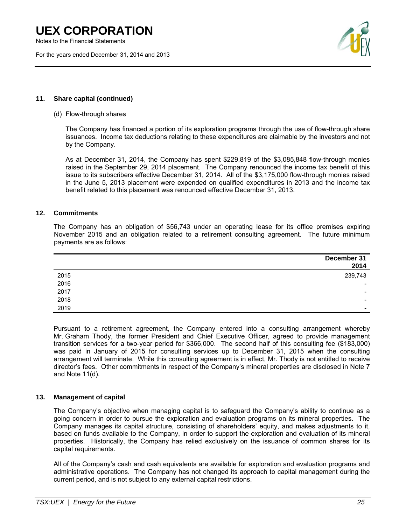Notes to the Financial Statements

For the years ended December 31, 2014 and 2013



# **11. Share capital (continued)**

### (d) Flow-through shares

The Company has financed a portion of its exploration programs through the use of flow-through share issuances. Income tax deductions relating to these expenditures are claimable by the investors and not by the Company.

As at December 31, 2014, the Company has spent \$229,819 of the \$3,085,848 flow-through monies raised in the September 29, 2014 placement. The Company renounced the income tax benefit of this issue to its subscribers effective December 31, 2014. All of the \$3,175,000 flow-through monies raised in the June 5, 2013 placement were expended on qualified expenditures in 2013 and the income tax benefit related to this placement was renounced effective December 31, 2013.

# **12. Commitments**

 The Company has an obligation of \$56,743 under an operating lease for its office premises expiring November 2015 and an obligation related to a retirement consulting agreement. The future minimum payments are as follows:

|      | December 31<br>2014      |
|------|--------------------------|
| 2015 | 239,743                  |
| 2016 | $\overline{\phantom{0}}$ |
| 2017 | $\overline{\phantom{0}}$ |
| 2018 | $\overline{\phantom{0}}$ |
| 2019 | $\overline{\phantom{0}}$ |

Pursuant to a retirement agreement, the Company entered into a consulting arrangement whereby Mr. Graham Thody, the former President and Chief Executive Officer, agreed to provide management transition services for a two-year period for \$366,000. The second half of this consulting fee (\$183,000) was paid in January of 2015 for consulting services up to December 31, 2015 when the consulting arrangement will terminate. While this consulting agreement is in effect, Mr. Thody is not entitled to receive director's fees. Other commitments in respect of the Company's mineral properties are disclosed in Note 7 and Note 11(d).

# **13. Management of capital**

 The Company's objective when managing capital is to safeguard the Company's ability to continue as a going concern in order to pursue the exploration and evaluation programs on its mineral properties. The Company manages its capital structure, consisting of shareholders' equity, and makes adjustments to it, based on funds available to the Company, in order to support the exploration and evaluation of its mineral properties. Historically, the Company has relied exclusively on the issuance of common shares for its capital requirements.

 All of the Company's cash and cash equivalents are available for exploration and evaluation programs and administrative operations. The Company has not changed its approach to capital management during the current period, and is not subject to any external capital restrictions.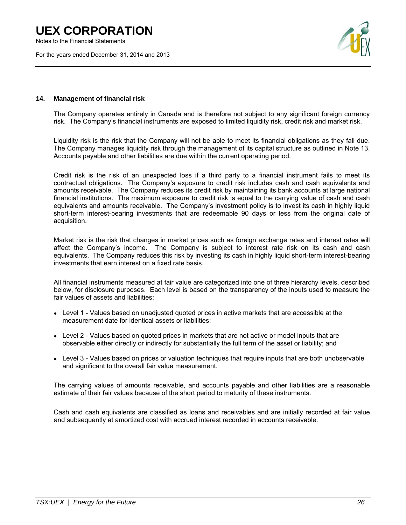Notes to the Financial Statements

For the years ended December 31, 2014 and 2013



# **14. Management of financial risk**

 The Company operates entirely in Canada and is therefore not subject to any significant foreign currency risk. The Company's financial instruments are exposed to limited liquidity risk, credit risk and market risk.

 Liquidity risk is the risk that the Company will not be able to meet its financial obligations as they fall due. The Company manages liquidity risk through the management of its capital structure as outlined in Note 13. Accounts payable and other liabilities are due within the current operating period.

Credit risk is the risk of an unexpected loss if a third party to a financial instrument fails to meet its contractual obligations. The Company's exposure to credit risk includes cash and cash equivalents and amounts receivable. The Company reduces its credit risk by maintaining its bank accounts at large national financial institutions. The maximum exposure to credit risk is equal to the carrying value of cash and cash equivalents and amounts receivable. The Company's investment policy is to invest its cash in highly liquid short-term interest-bearing investments that are redeemable 90 days or less from the original date of acquisition.

Market risk is the risk that changes in market prices such as foreign exchange rates and interest rates will affect the Company's income. The Company is subject to interest rate risk on its cash and cash equivalents. The Company reduces this risk by investing its cash in highly liquid short-term interest-bearing investments that earn interest on a fixed rate basis.

 All financial instruments measured at fair value are categorized into one of three hierarchy levels, described below, for disclosure purposes. Each level is based on the transparency of the inputs used to measure the fair values of assets and liabilities:

- Level 1 Values based on unadjusted quoted prices in active markets that are accessible at the measurement date for identical assets or liabilities;
- Level 2 Values based on quoted prices in markets that are not active or model inputs that are observable either directly or indirectly for substantially the full term of the asset or liability; and
- Level 3 Values based on prices or valuation techniques that require inputs that are both unobservable and significant to the overall fair value measurement.

 The carrying values of amounts receivable, and accounts payable and other liabilities are a reasonable estimate of their fair values because of the short period to maturity of these instruments.

 Cash and cash equivalents are classified as loans and receivables and are initially recorded at fair value and subsequently at amortized cost with accrued interest recorded in accounts receivable.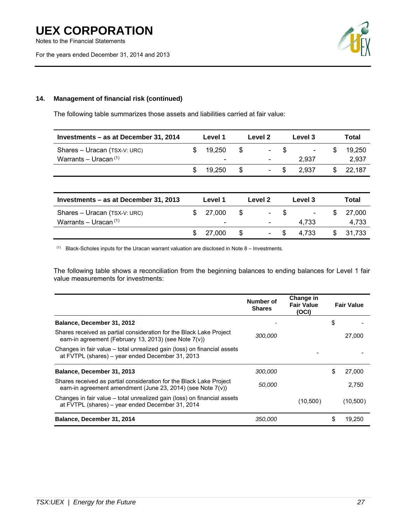Notes to the Financial Statements

For the years ended December 31, 2014 and 2013



# **14. Management of financial risk (continued)**

The following table summarizes those assets and liabilities carried at fair value:

| Investments – as at December 31, 2014 | Level 1 |        | Level 2 |                          | Level 3 |                          | Total  |
|---------------------------------------|---------|--------|---------|--------------------------|---------|--------------------------|--------|
| Shares - Uracan (TSX-V: URC)          |         | 19.250 |         |                          | - \$    | $\overline{\phantom{a}}$ | 19.250 |
| Warrants – Uracan $(1)$               |         | ۰      |         | $\overline{\phantom{0}}$ |         | 2.937                    | 2,937  |
|                                       |         | 19.250 |         | - \$                     |         | 2.937                    | 22.187 |

| Investments – as at December 31, 2013                   | Level 1 |                                    | Level 2 |  |            | Level 3                           | Total |                 |  |
|---------------------------------------------------------|---------|------------------------------------|---------|--|------------|-----------------------------------|-------|-----------------|--|
| Shares - Uracan (TSX-V: URC)<br>Warrants – Uracan $(1)$ |         | 27.000<br>$\overline{\phantom{a}}$ |         |  | - \$       | $\overline{\phantom{a}}$<br>4.733 |       | 27.000<br>4,733 |  |
|                                                         |         |                                    |         |  |            |                                   |       |                 |  |
|                                                         |         | 27.000                             |         |  | $^{\circ}$ | 4.733                             |       | 31.733          |  |

 $(1)$  Black-Scholes inputs for the Uracan warrant valuation are disclosed in Note 8 – Investments.

The following table shows a reconciliation from the beginning balances to ending balances for Level 1 fair value measurements for investments:

|                                                                                                                                    | Number of<br><b>Shares</b> | Change in<br><b>Fair Value</b><br>(OCI) |    | <b>Fair Value</b> |
|------------------------------------------------------------------------------------------------------------------------------------|----------------------------|-----------------------------------------|----|-------------------|
| Balance, December 31, 2012                                                                                                         |                            |                                         | \$ |                   |
| Shares received as partial consideration for the Black Lake Project<br>earn-in agreement (February 13, 2013) (see Note 7(v))       | <i>300.000</i>             |                                         |    | 27,000            |
| Changes in fair value – total unrealized gain (loss) on financial assets<br>at FVTPL (shares) - year ended December 31, 2013       |                            |                                         |    |                   |
| Balance, December 31, 2013                                                                                                         | 300,000                    |                                         | S  | 27,000            |
| Shares received as partial consideration for the Black Lake Project<br>earn-in agreement amendment (June 23, 2014) (see Note 7(v)) | 50,000                     |                                         |    | 2.750             |
| Changes in fair value – total unrealized gain (loss) on financial assets<br>at FVTPL (shares) - year ended December 31, 2014       |                            | (10,500)                                |    | (10,500)          |
| Balance, December 31, 2014                                                                                                         | <i>350.000</i>             |                                         | \$ | 19.250            |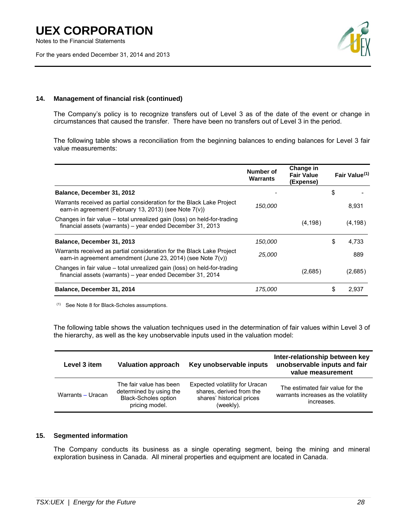Notes to the Financial Statements

For the years ended December 31, 2014 and 2013



# **14. Management of financial risk (continued)**

The Company's policy is to recognize transfers out of Level 3 as of the date of the event or change in circumstances that caused the transfer. There have been no transfers out of Level 3 in the period.

The following table shows a reconciliation from the beginning balances to ending balances for Level 3 fair value measurements:

|                                                                                                                                        | Number of<br>Warrants | Change in<br><b>Fair Value</b><br>(Expense) | Fair Value <sup>(1)</sup> |
|----------------------------------------------------------------------------------------------------------------------------------------|-----------------------|---------------------------------------------|---------------------------|
| Balance, December 31, 2012                                                                                                             |                       |                                             | \$                        |
| Warrants received as partial consideration for the Black Lake Project<br>earn-in agreement (February 13, 2013) (see Note 7(y))         | <i><b>150.000</b></i> |                                             | 8.931                     |
| Changes in fair value – total unrealized gain (loss) on held-for-trading<br>financial assets (warrants) - year ended December 31, 2013 |                       | (4, 198)                                    | (4, 198)                  |
| Balance, December 31, 2013                                                                                                             | <i>150.000</i>        |                                             | \$<br>4,733               |
| Warrants received as partial consideration for the Black Lake Project<br>earn-in agreement amendment (June 23, 2014) (see Note 7(v))   | 25,000                |                                             | 889                       |
| Changes in fair value - total unrealized gain (loss) on held-for-trading<br>financial assets (warrants) - year ended December 31, 2014 |                       | (2,685)                                     | (2,685)                   |
| Balance, December 31, 2014                                                                                                             | 175,000               |                                             | \$<br>2,937               |

(1) See Note 8 for Black-Scholes assumptions.

The following table shows the valuation techniques used in the determination of fair values within Level 3 of the hierarchy, as well as the key unobservable inputs used in the valuation model:

| Level 3 item      | <b>Valuation approach</b>                                                                           | Key unobservable inputs                                                                              | Inter-relationship between key<br>unobservable inputs and fair<br>value measurement    |
|-------------------|-----------------------------------------------------------------------------------------------------|------------------------------------------------------------------------------------------------------|----------------------------------------------------------------------------------------|
| Warrants - Uracan | The fair value has been<br>determined by using the<br><b>Black-Scholes option</b><br>pricing model. | Expected volatility for Uracan<br>shares, derived from the<br>shares' historical prices<br>(weekly). | The estimated fair value for the<br>warrants increases as the volatility<br>increases. |

# **15. Segmented information**

 The Company conducts its business as a single operating segment, being the mining and mineral exploration business in Canada. All mineral properties and equipment are located in Canada.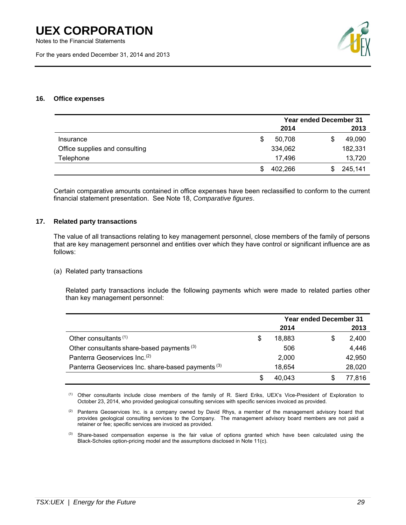Notes to the Financial Statements

For the years ended December 31, 2014 and 2013



### **16. Office expenses**

|                                | <b>Year ended December 31</b> |   |         |  |  |
|--------------------------------|-------------------------------|---|---------|--|--|
|                                | 2014                          |   |         |  |  |
| Insurance                      | 50,708                        | S | 49,090  |  |  |
| Office supplies and consulting | 334,062                       |   | 182,331 |  |  |
| Telephone                      | 17,496                        |   | 13,720  |  |  |
|                                | 402,266                       |   | 245,141 |  |  |

Certain comparative amounts contained in office expenses have been reclassified to conform to the current financial statement presentation. See Note 18, *Comparative figures*.

### **17. Related party transactions**

 The value of all transactions relating to key management personnel, close members of the family of persons that are key management personnel and entities over which they have control or significant influence are as follows:

(a) Related party transactions

 Related party transactions include the following payments which were made to related parties other than key management personnel:

|                                                               |   | <b>Year ended December 31</b> |             |  |  |
|---------------------------------------------------------------|---|-------------------------------|-------------|--|--|
|                                                               |   | 2014                          | 2013        |  |  |
| Other consultants <sup>(1)</sup>                              | S | 18.883                        | 2,400<br>\$ |  |  |
| Other consultants share-based payments (3)                    |   | 506                           | 4,446       |  |  |
| Panterra Geoservices Inc. <sup>(2)</sup>                      |   | 2,000                         | 42,950      |  |  |
| Panterra Geoservices Inc. share-based payments <sup>(3)</sup> |   | 18,654                        | 28,020      |  |  |
|                                                               | S | 40.043                        | 77,816      |  |  |

(1) Other consultants include close members of the family of R. Sierd Eriks, UEX's Vice-President of Exploration to October 23, 2014, who provided geological consulting services with specific services invoiced as provided.

(2) Panterra Geoservices Inc. is a company owned by David Rhys, a member of the management advisory board that provides geological consulting services to the Company. The management advisory board members are not paid a retainer or fee; specific services are invoiced as provided.

(3) Share-based compensation expense is the fair value of options granted which have been calculated using the Black-Scholes option-pricing model and the assumptions disclosed in Note 11(c).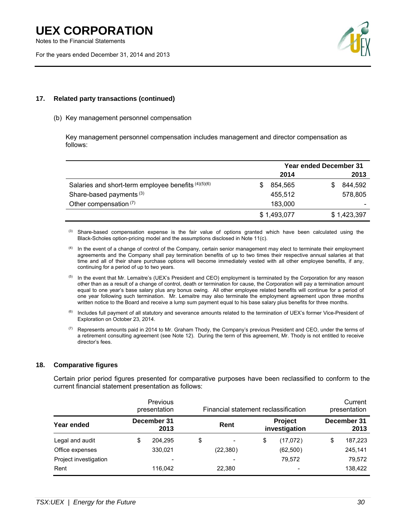Notes to the Financial Statements

For the years ended December 31, 2014 and 2013



# **17. Related party transactions (continued)**

### (b) Key management personnel compensation

 Key management personnel compensation includes management and director compensation as follows:

|                                                     | <b>Year ended December 31</b> |             |  |             |
|-----------------------------------------------------|-------------------------------|-------------|--|-------------|
|                                                     |                               | 2014        |  | 2013        |
| Salaries and short-term employee benefits (4)(5)(6) | S                             | 854,565     |  | 844.592     |
| Share-based payments <sup>(3)</sup>                 |                               | 455,512     |  | 578,805     |
| Other compensation <sup>(7)</sup>                   |                               | 183,000     |  |             |
|                                                     |                               | \$1,493,077 |  | \$1,423,397 |

(3) Share-based compensation expense is the fair value of options granted which have been calculated using the Black-Scholes option-pricing model and the assumptions disclosed in Note 11(c).

- (4) In the event of a change of control of the Company, certain senior management may elect to terminate their employment agreements and the Company shall pay termination benefits of up to two times their respective annual salaries at that time and all of their share purchase options will become immediately vested with all other employee benefits, if any, continuing for a period of up to two years.
- <sup>(5)</sup> In the event that Mr. Lemaitre's (UEX's President and CEO) employment is terminated by the Corporation for any reason other than as a result of a change of control, death or termination for cause, the Corporation will pay a termination amount equal to one year's base salary plus any bonus owing. All other employee related benefits will continue for a period of one year following such termination. Mr. Lemaitre may also terminate the employment agreement upon three months written notice to the Board and receive a lump sum payment equal to his base salary plus benefits for three months.
- <sup>(6)</sup> Includes full payment of all statutory and severance amounts related to the termination of UEX's former Vice-President of Exploration on October 23, 2014.
- $(7)$  Represents amounts paid in 2014 to Mr. Graham Thody, the Company's previous President and CEO, under the terms of a retirement consulting agreement (see Note 12). During the term of this agreement, Mr. Thody is not entitled to receive director's fees.

# **18. Comparative figures**

Certain prior period figures presented for comparative purposes have been reclassified to conform to the current financial statement presentation as follows:

|                       |                     | <b>Previous</b><br>presentation |      | Financial statement reclassification |                                 |           | Current<br>presentation |
|-----------------------|---------------------|---------------------------------|------|--------------------------------------|---------------------------------|-----------|-------------------------|
| Year ended            | December 31<br>2013 |                                 | Rent |                                      | <b>Project</b><br>investigation |           | December 31<br>2013     |
| Legal and audit       | \$                  | 204.295                         | \$   | $\overline{\phantom{0}}$             | \$                              | (17,072)  | \$<br>187,223           |
| Office expenses       |                     | 330.021                         |      | (22, 380)                            |                                 | (62, 500) | 245,141                 |
| Project investigation |                     | -                               |      |                                      |                                 | 79,572    | 79,572                  |
| Rent                  |                     | 116.042                         |      | 22,380                               |                                 | -         | 138,422                 |